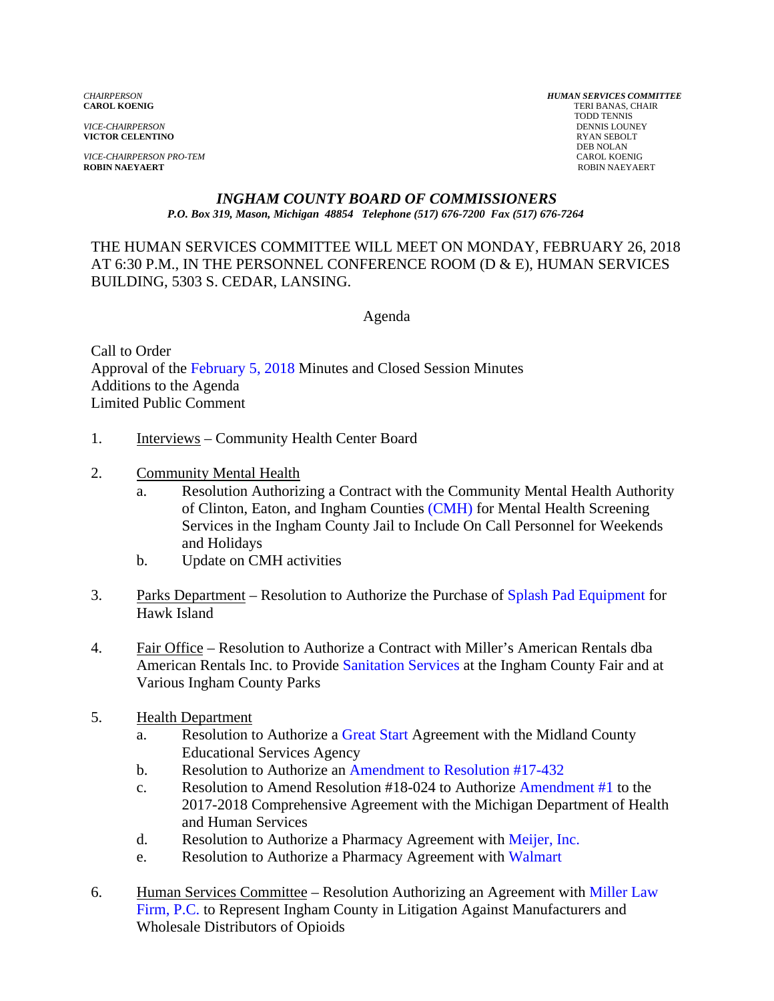*VICE-CHAIRPERSON* DENNIS LOUNE<br>**VICTOR CELENTINO VICTOR CELENTINO** 

*VICE-CHAIRPERSON PRO-TEM*<br>**ROBIN NAEYAERT** 

*CHAIRPERSON HUMAN SERVICES COMMITTEE* **TERI BANAS, CHAIR**  TODD TENNIS DEB NOLAN<br>CAROL KOENIG **ROBIN NAEYAERT** ROBIN NAEYAERT

#### *INGHAM COUNTY BOARD OF COMMISSIONERS P.O. Box 319, Mason, Michigan 48854 Telephone (517) 676-7200 Fax (517) 676-7264*

THE HUMAN SERVICES COMMITTEE WILL MEET ON MONDAY, FEBRUARY 26, 2018 AT 6:30 P.M., IN THE PERSONNEL CONFERENCE ROOM (D & E), HUMAN SERVICES BUILDING, 5303 S. CEDAR, LANSING.

Agenda

Call to Order Approval [of the February 5, 2018 Minutes and Closed](#page-2-0) Session Minutes Additions to the Agenda Limited Public Comment

- 1. Interviews Community Health Center Board
- 2. Community Mental Health
	- a. Resolution Authorizing a Contract with the Community Mental Health Authority of Clinton, Eaton, and Ingham Counties [\(CMH\) for Mental He](#page-21-0)alth Screening Services in the Ingham County Jail to Include On Call Personnel for Weekends and Holidays
	- b. Update on CMH activities
- 3. Parks Department Resolution to Authorize the Purchase [of Splash Pad Equipment for](#page-23-0) Hawk Island
- 4. Fair Office Resolution to Authorize a Contract with Miller's American Rentals dba American Rentals Inc. to Provide Sanitation [Services at the Ingha](#page-25-0)m County Fair and at Various Ingham County Parks
- 5. Health Department
	- a. Resolution to Authoriz[e a Great Start Agreement wi](#page-28-0)th the Midland County Educational Services Agency
	- b. Resolution to Authorize an [Amendment to Resolution #17-432](#page-30-0)
	- c. Resolution to Amend Resolution  $#18-024$  to Authorize Amendment  $#1$  to the 2017-2018 Comprehensive Agreement with the Mich[igan Department of Health](#page-32-0) and Human Services
	- d. Resolution to Authorize a Pharmacy Agreement [with Meijer, Inc.](#page-34-0)
	- e. Resolution to Authorize a Pharmacy Agreement [with Walmart](#page-36-0)
- 6. [Human Services Committee Resolution Authorizing an Agreement with Miller Law](#page-38-0) Firm, P.C. to Represent Ingham County in Litigation Against Manufacturers and Wholesale Distributors of Opioids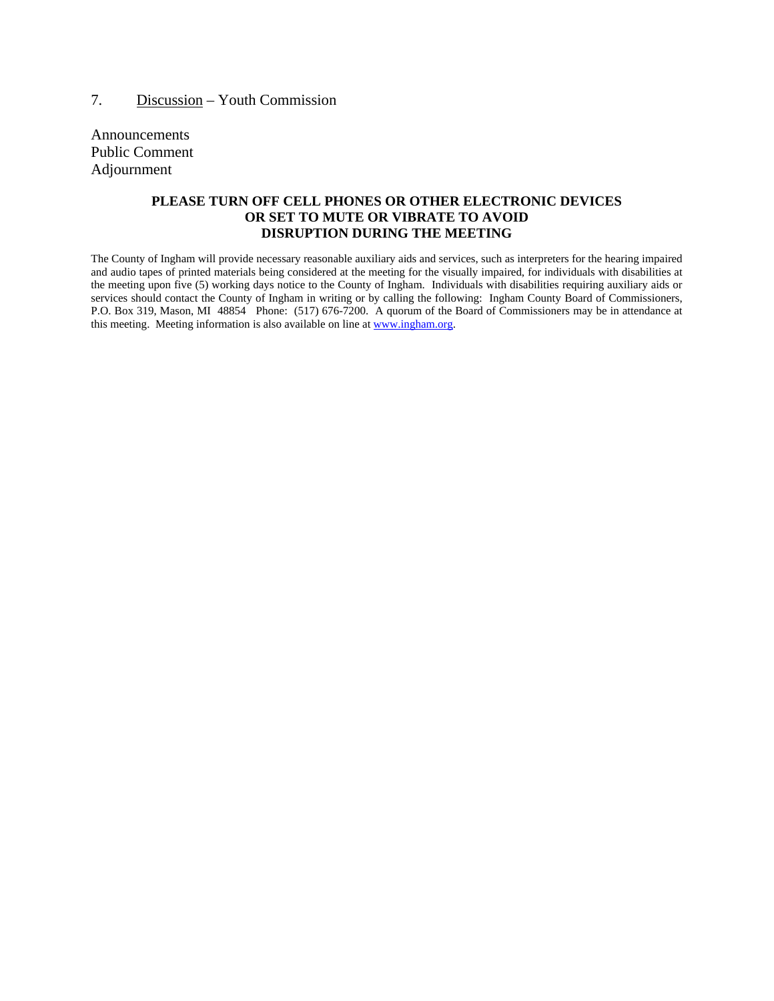Announcements Public Comment Adjournment

#### **PLEASE TURN OFF CELL PHONES OR OTHER ELECTRONIC DEVICES OR SET TO MUTE OR VIBRATE TO AVOID DISRUPTION DURING THE MEETING**

The County of Ingham will provide necessary reasonable auxiliary aids and services, such as interpreters for the hearing impaired and audio tapes of printed materials being considered at the meeting for the visually impaired, for individuals with disabilities at the meeting upon five (5) working days notice to the County of Ingham. Individuals with disabilities requiring auxiliary aids or services should contact the County of Ingham in writing or by calling the following: Ingham County Board of Commissioners, P.O. Box 319, Mason, MI 48854 Phone: (517) 676-7200. A quorum of the Board of Commissioners may be in attendance at this meeting. Meeting information is also available on line at www.ingham.org.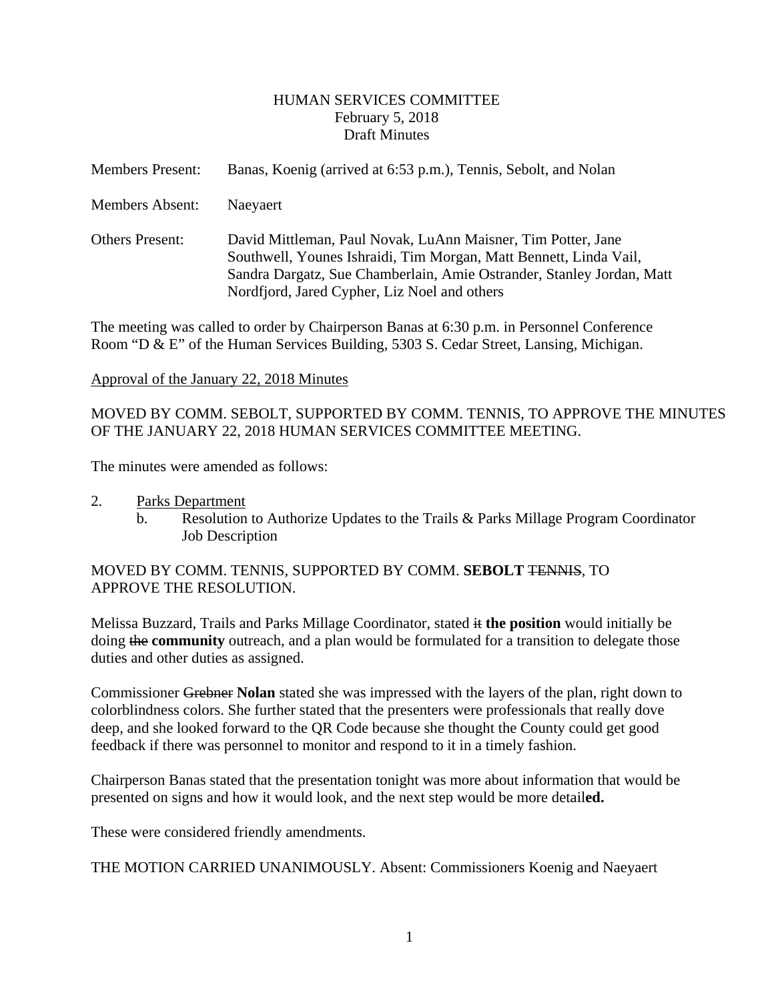#### HUMAN SERVICES COMMITTEE February 5, 2018 Draft Minutes

<span id="page-2-0"></span>

| <b>Members Present:</b> | Banas, Koenig (arrived at 6:53 p.m.), Tennis, Sebolt, and Nolan                                                                                                                                                                                            |
|-------------------------|------------------------------------------------------------------------------------------------------------------------------------------------------------------------------------------------------------------------------------------------------------|
| Members Absent:         | Naeyaert                                                                                                                                                                                                                                                   |
| <b>Others Present:</b>  | David Mittleman, Paul Novak, LuAnn Maisner, Tim Potter, Jane<br>Southwell, Younes Ishraidi, Tim Morgan, Matt Bennett, Linda Vail,<br>Sandra Dargatz, Sue Chamberlain, Amie Ostrander, Stanley Jordan, Matt<br>Nordfjord, Jared Cypher, Liz Noel and others |

The meeting was called to order by Chairperson Banas at 6:30 p.m. in Personnel Conference Room "D & E" of the Human Services Building, 5303 S. Cedar Street, Lansing, Michigan.

#### Approval of the January 22, 2018 Minutes

#### MOVED BY COMM. SEBOLT, SUPPORTED BY COMM. TENNIS, TO APPROVE THE MINUTES OF THE JANUARY 22, 2018 HUMAN SERVICES COMMITTEE MEETING.

The minutes were amended as follows:

- 2. Parks Department
	- b. Resolution to Authorize Updates to the Trails & Parks Millage Program Coordinator Job Description

#### MOVED BY COMM. TENNIS, SUPPORTED BY COMM. **SEBOLT** TENNIS, TO APPROVE THE RESOLUTION.

Melissa Buzzard, Trails and Parks Millage Coordinator, stated it **the position** would initially be doing the **community** outreach, and a plan would be formulated for a transition to delegate those duties and other duties as assigned.

Commissioner Grebner **Nolan** stated she was impressed with the layers of the plan, right down to colorblindness colors. She further stated that the presenters were professionals that really dove deep, and she looked forward to the QR Code because she thought the County could get good feedback if there was personnel to monitor and respond to it in a timely fashion.

Chairperson Banas stated that the presentation tonight was more about information that would be presented on signs and how it would look, and the next step would be more detail**ed.**

These were considered friendly amendments.

THE MOTION CARRIED UNANIMOUSLY. Absent: Commissioners Koenig and Naeyaert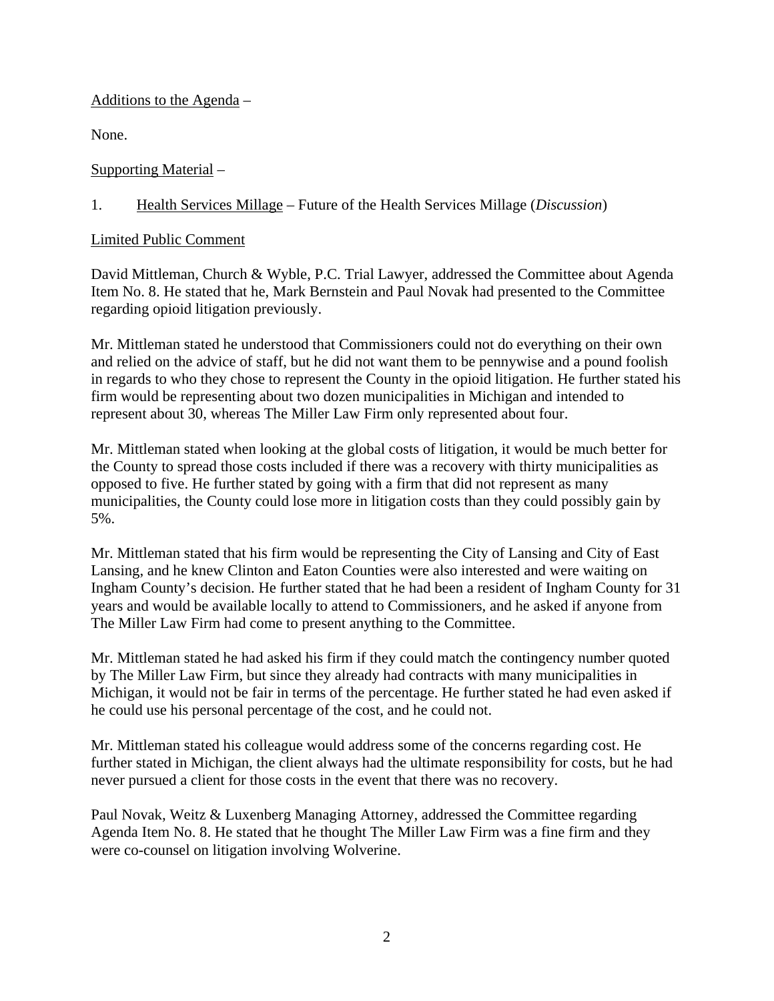### Additions to the Agenda –

None.

Supporting Material –

# 1. Health Services Millage – Future of the Health Services Millage (*Discussion*)

## Limited Public Comment

David Mittleman, Church & Wyble, P.C. Trial Lawyer, addressed the Committee about Agenda Item No. 8. He stated that he, Mark Bernstein and Paul Novak had presented to the Committee regarding opioid litigation previously.

Mr. Mittleman stated he understood that Commissioners could not do everything on their own and relied on the advice of staff, but he did not want them to be pennywise and a pound foolish in regards to who they chose to represent the County in the opioid litigation. He further stated his firm would be representing about two dozen municipalities in Michigan and intended to represent about 30, whereas The Miller Law Firm only represented about four.

Mr. Mittleman stated when looking at the global costs of litigation, it would be much better for the County to spread those costs included if there was a recovery with thirty municipalities as opposed to five. He further stated by going with a firm that did not represent as many municipalities, the County could lose more in litigation costs than they could possibly gain by 5%.

Mr. Mittleman stated that his firm would be representing the City of Lansing and City of East Lansing, and he knew Clinton and Eaton Counties were also interested and were waiting on Ingham County's decision. He further stated that he had been a resident of Ingham County for 31 years and would be available locally to attend to Commissioners, and he asked if anyone from The Miller Law Firm had come to present anything to the Committee.

Mr. Mittleman stated he had asked his firm if they could match the contingency number quoted by The Miller Law Firm, but since they already had contracts with many municipalities in Michigan, it would not be fair in terms of the percentage. He further stated he had even asked if he could use his personal percentage of the cost, and he could not.

Mr. Mittleman stated his colleague would address some of the concerns regarding cost. He further stated in Michigan, the client always had the ultimate responsibility for costs, but he had never pursued a client for those costs in the event that there was no recovery.

Paul Novak, Weitz & Luxenberg Managing Attorney, addressed the Committee regarding Agenda Item No. 8. He stated that he thought The Miller Law Firm was a fine firm and they were co-counsel on litigation involving Wolverine.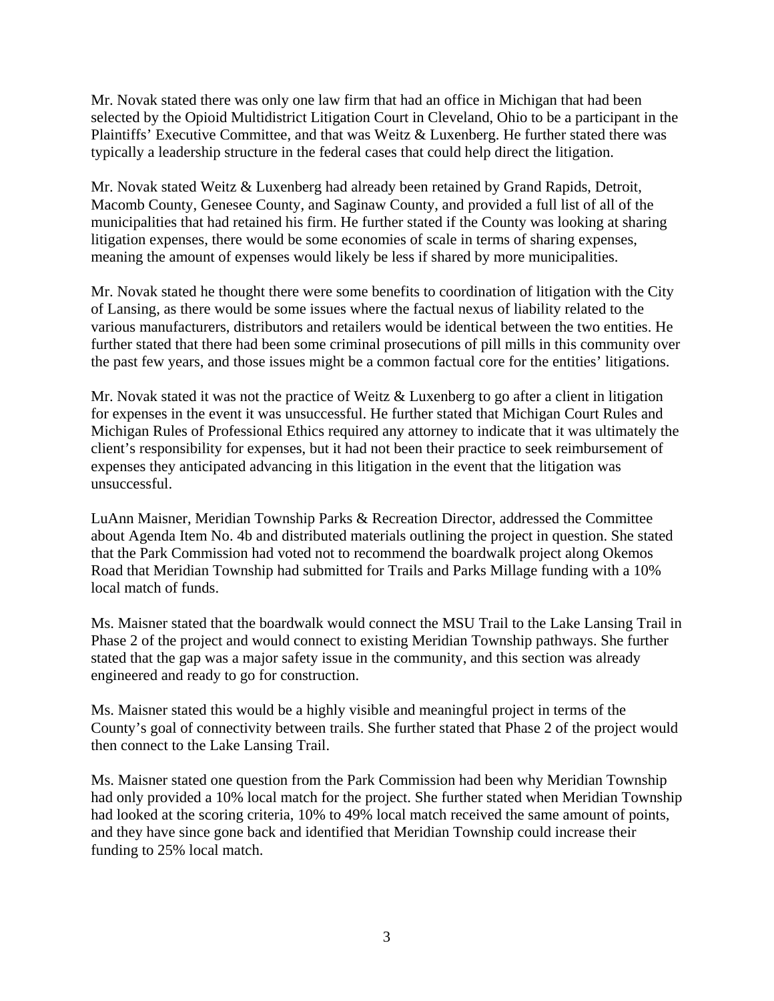Mr. Novak stated there was only one law firm that had an office in Michigan that had been selected by the Opioid Multidistrict Litigation Court in Cleveland, Ohio to be a participant in the Plaintiffs' Executive Committee, and that was Weitz & Luxenberg. He further stated there was typically a leadership structure in the federal cases that could help direct the litigation.

Mr. Novak stated Weitz & Luxenberg had already been retained by Grand Rapids, Detroit, Macomb County, Genesee County, and Saginaw County, and provided a full list of all of the municipalities that had retained his firm. He further stated if the County was looking at sharing litigation expenses, there would be some economies of scale in terms of sharing expenses, meaning the amount of expenses would likely be less if shared by more municipalities.

Mr. Novak stated he thought there were some benefits to coordination of litigation with the City of Lansing, as there would be some issues where the factual nexus of liability related to the various manufacturers, distributors and retailers would be identical between the two entities. He further stated that there had been some criminal prosecutions of pill mills in this community over the past few years, and those issues might be a common factual core for the entities' litigations.

Mr. Novak stated it was not the practice of Weitz & Luxenberg to go after a client in litigation for expenses in the event it was unsuccessful. He further stated that Michigan Court Rules and Michigan Rules of Professional Ethics required any attorney to indicate that it was ultimately the client's responsibility for expenses, but it had not been their practice to seek reimbursement of expenses they anticipated advancing in this litigation in the event that the litigation was unsuccessful.

LuAnn Maisner, Meridian Township Parks & Recreation Director, addressed the Committee about Agenda Item No. 4b and distributed materials outlining the project in question. She stated that the Park Commission had voted not to recommend the boardwalk project along Okemos Road that Meridian Township had submitted for Trails and Parks Millage funding with a 10% local match of funds.

Ms. Maisner stated that the boardwalk would connect the MSU Trail to the Lake Lansing Trail in Phase 2 of the project and would connect to existing Meridian Township pathways. She further stated that the gap was a major safety issue in the community, and this section was already engineered and ready to go for construction.

Ms. Maisner stated this would be a highly visible and meaningful project in terms of the County's goal of connectivity between trails. She further stated that Phase 2 of the project would then connect to the Lake Lansing Trail.

Ms. Maisner stated one question from the Park Commission had been why Meridian Township had only provided a 10% local match for the project. She further stated when Meridian Township had looked at the scoring criteria, 10% to 49% local match received the same amount of points, and they have since gone back and identified that Meridian Township could increase their funding to 25% local match.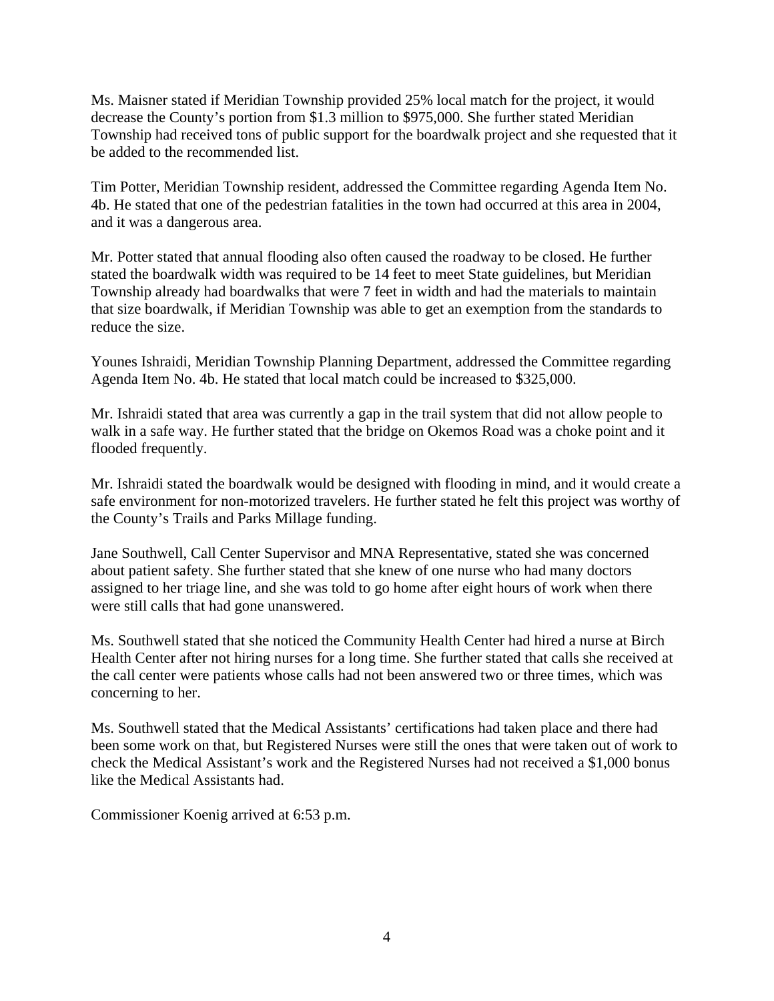Ms. Maisner stated if Meridian Township provided 25% local match for the project, it would decrease the County's portion from \$1.3 million to \$975,000. She further stated Meridian Township had received tons of public support for the boardwalk project and she requested that it be added to the recommended list.

Tim Potter, Meridian Township resident, addressed the Committee regarding Agenda Item No. 4b. He stated that one of the pedestrian fatalities in the town had occurred at this area in 2004, and it was a dangerous area.

Mr. Potter stated that annual flooding also often caused the roadway to be closed. He further stated the boardwalk width was required to be 14 feet to meet State guidelines, but Meridian Township already had boardwalks that were 7 feet in width and had the materials to maintain that size boardwalk, if Meridian Township was able to get an exemption from the standards to reduce the size.

Younes Ishraidi, Meridian Township Planning Department, addressed the Committee regarding Agenda Item No. 4b. He stated that local match could be increased to \$325,000.

Mr. Ishraidi stated that area was currently a gap in the trail system that did not allow people to walk in a safe way. He further stated that the bridge on Okemos Road was a choke point and it flooded frequently.

Mr. Ishraidi stated the boardwalk would be designed with flooding in mind, and it would create a safe environment for non-motorized travelers. He further stated he felt this project was worthy of the County's Trails and Parks Millage funding.

Jane Southwell, Call Center Supervisor and MNA Representative, stated she was concerned about patient safety. She further stated that she knew of one nurse who had many doctors assigned to her triage line, and she was told to go home after eight hours of work when there were still calls that had gone unanswered.

Ms. Southwell stated that she noticed the Community Health Center had hired a nurse at Birch Health Center after not hiring nurses for a long time. She further stated that calls she received at the call center were patients whose calls had not been answered two or three times, which was concerning to her.

Ms. Southwell stated that the Medical Assistants' certifications had taken place and there had been some work on that, but Registered Nurses were still the ones that were taken out of work to check the Medical Assistant's work and the Registered Nurses had not received a \$1,000 bonus like the Medical Assistants had.

Commissioner Koenig arrived at 6:53 p.m.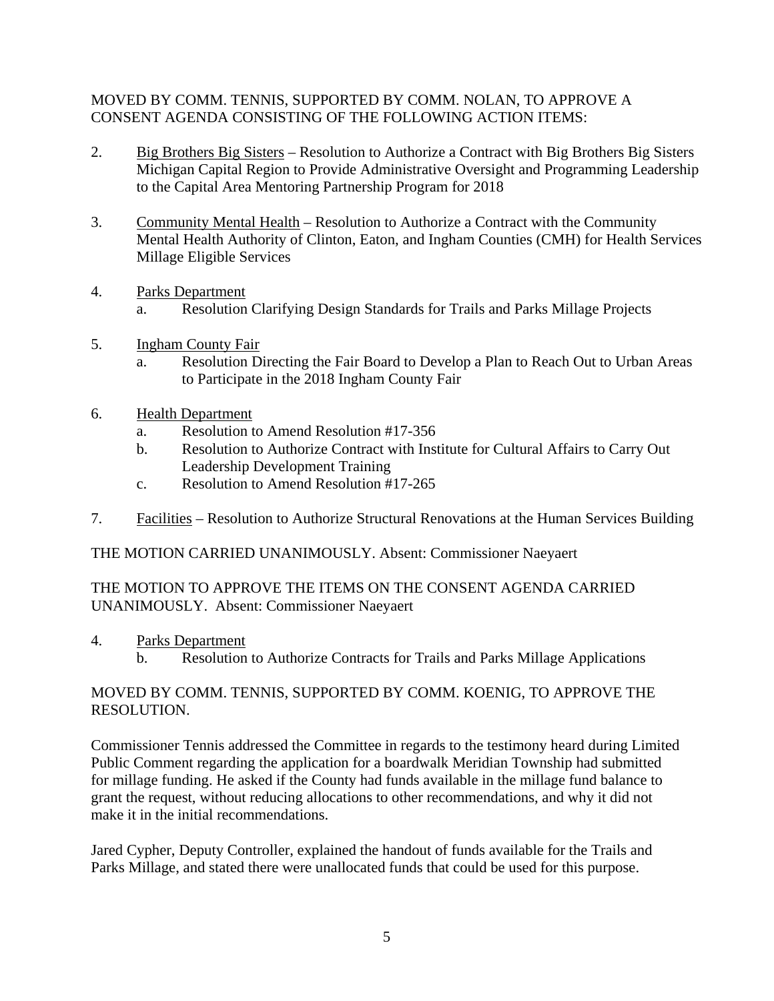### MOVED BY COMM. TENNIS, SUPPORTED BY COMM. NOLAN, TO APPROVE A CONSENT AGENDA CONSISTING OF THE FOLLOWING ACTION ITEMS:

- 2. Big Brothers Big Sisters Resolution to Authorize a Contract with Big Brothers Big Sisters Michigan Capital Region to Provide Administrative Oversight and Programming Leadership to the Capital Area Mentoring Partnership Program for 2018
- 3. Community Mental Health Resolution to Authorize a Contract with the Community Mental Health Authority of Clinton, Eaton, and Ingham Counties (CMH) for Health Services Millage Eligible Services
- 4. Parks Department a. Resolution Clarifying Design Standards for Trails and Parks Millage Projects
- 5. Ingham County Fair
	- a. Resolution Directing the Fair Board to Develop a Plan to Reach Out to Urban Areas to Participate in the 2018 Ingham County Fair
- 6. Health Department
	- a. Resolution to Amend Resolution #17-356
	- b. Resolution to Authorize Contract with Institute for Cultural Affairs to Carry Out Leadership Development Training
	- c. Resolution to Amend Resolution #17-265
- 7. Facilities Resolution to Authorize Structural Renovations at the Human Services Building

THE MOTION CARRIED UNANIMOUSLY. Absent: Commissioner Naeyaert

### THE MOTION TO APPROVE THE ITEMS ON THE CONSENT AGENDA CARRIED UNANIMOUSLY. Absent: Commissioner Naeyaert

- 4. Parks Department
	- b. Resolution to Authorize Contracts for Trails and Parks Millage Applications

# MOVED BY COMM. TENNIS, SUPPORTED BY COMM. KOENIG, TO APPROVE THE RESOLUTION.

Commissioner Tennis addressed the Committee in regards to the testimony heard during Limited Public Comment regarding the application for a boardwalk Meridian Township had submitted for millage funding. He asked if the County had funds available in the millage fund balance to grant the request, without reducing allocations to other recommendations, and why it did not make it in the initial recommendations.

Jared Cypher, Deputy Controller, explained the handout of funds available for the Trails and Parks Millage, and stated there were unallocated funds that could be used for this purpose.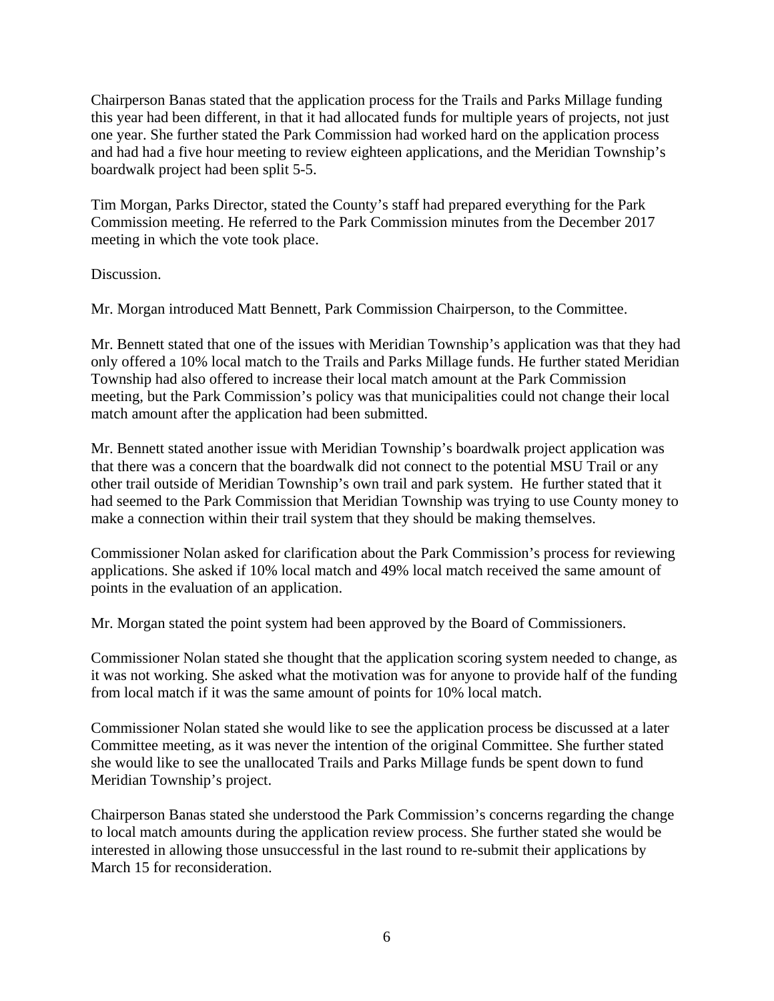Chairperson Banas stated that the application process for the Trails and Parks Millage funding this year had been different, in that it had allocated funds for multiple years of projects, not just one year. She further stated the Park Commission had worked hard on the application process and had had a five hour meeting to review eighteen applications, and the Meridian Township's boardwalk project had been split 5-5.

Tim Morgan, Parks Director, stated the County's staff had prepared everything for the Park Commission meeting. He referred to the Park Commission minutes from the December 2017 meeting in which the vote took place.

Discussion.

Mr. Morgan introduced Matt Bennett, Park Commission Chairperson, to the Committee.

Mr. Bennett stated that one of the issues with Meridian Township's application was that they had only offered a 10% local match to the Trails and Parks Millage funds. He further stated Meridian Township had also offered to increase their local match amount at the Park Commission meeting, but the Park Commission's policy was that municipalities could not change their local match amount after the application had been submitted.

Mr. Bennett stated another issue with Meridian Township's boardwalk project application was that there was a concern that the boardwalk did not connect to the potential MSU Trail or any other trail outside of Meridian Township's own trail and park system. He further stated that it had seemed to the Park Commission that Meridian Township was trying to use County money to make a connection within their trail system that they should be making themselves.

Commissioner Nolan asked for clarification about the Park Commission's process for reviewing applications. She asked if 10% local match and 49% local match received the same amount of points in the evaluation of an application.

Mr. Morgan stated the point system had been approved by the Board of Commissioners.

Commissioner Nolan stated she thought that the application scoring system needed to change, as it was not working. She asked what the motivation was for anyone to provide half of the funding from local match if it was the same amount of points for 10% local match.

Commissioner Nolan stated she would like to see the application process be discussed at a later Committee meeting, as it was never the intention of the original Committee. She further stated she would like to see the unallocated Trails and Parks Millage funds be spent down to fund Meridian Township's project.

Chairperson Banas stated she understood the Park Commission's concerns regarding the change to local match amounts during the application review process. She further stated she would be interested in allowing those unsuccessful in the last round to re-submit their applications by March 15 for reconsideration.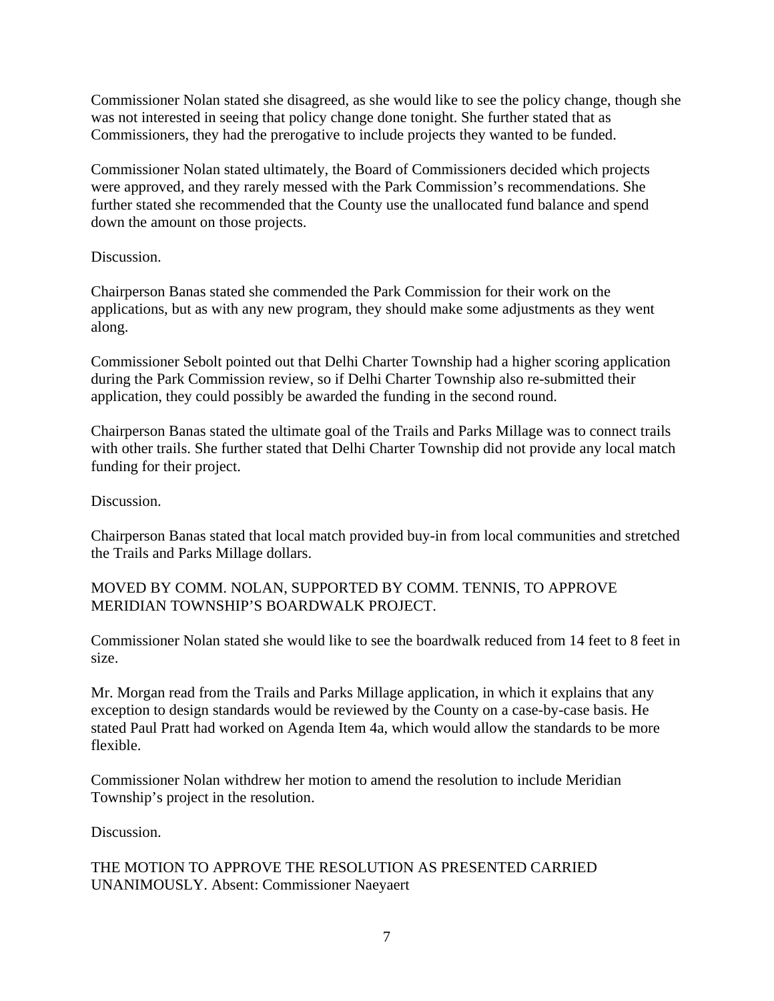Commissioner Nolan stated she disagreed, as she would like to see the policy change, though she was not interested in seeing that policy change done tonight. She further stated that as Commissioners, they had the prerogative to include projects they wanted to be funded.

Commissioner Nolan stated ultimately, the Board of Commissioners decided which projects were approved, and they rarely messed with the Park Commission's recommendations. She further stated she recommended that the County use the unallocated fund balance and spend down the amount on those projects.

### Discussion.

Chairperson Banas stated she commended the Park Commission for their work on the applications, but as with any new program, they should make some adjustments as they went along.

Commissioner Sebolt pointed out that Delhi Charter Township had a higher scoring application during the Park Commission review, so if Delhi Charter Township also re-submitted their application, they could possibly be awarded the funding in the second round.

Chairperson Banas stated the ultimate goal of the Trails and Parks Millage was to connect trails with other trails. She further stated that Delhi Charter Township did not provide any local match funding for their project.

Discussion.

Chairperson Banas stated that local match provided buy-in from local communities and stretched the Trails and Parks Millage dollars.

### MOVED BY COMM. NOLAN, SUPPORTED BY COMM. TENNIS, TO APPROVE MERIDIAN TOWNSHIP'S BOARDWALK PROJECT.

Commissioner Nolan stated she would like to see the boardwalk reduced from 14 feet to 8 feet in size.

Mr. Morgan read from the Trails and Parks Millage application, in which it explains that any exception to design standards would be reviewed by the County on a case-by-case basis. He stated Paul Pratt had worked on Agenda Item 4a, which would allow the standards to be more flexible.

Commissioner Nolan withdrew her motion to amend the resolution to include Meridian Township's project in the resolution.

Discussion.

THE MOTION TO APPROVE THE RESOLUTION AS PRESENTED CARRIED UNANIMOUSLY. Absent: Commissioner Naeyaert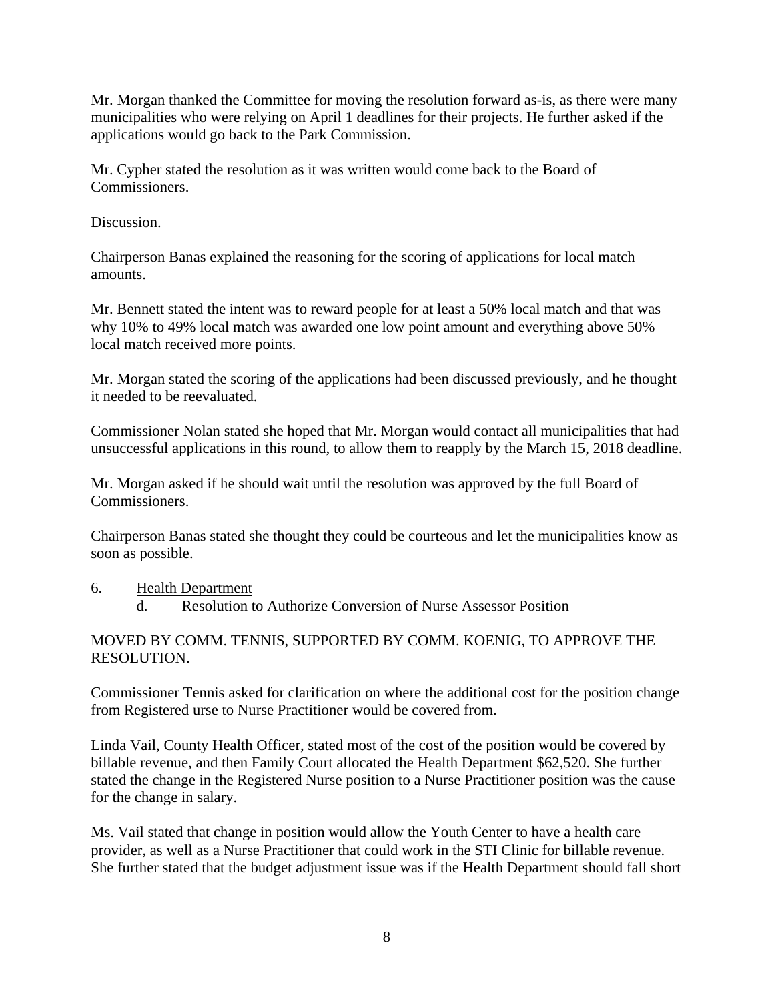Mr. Morgan thanked the Committee for moving the resolution forward as-is, as there were many municipalities who were relying on April 1 deadlines for their projects. He further asked if the applications would go back to the Park Commission.

Mr. Cypher stated the resolution as it was written would come back to the Board of Commissioners.

Discussion.

Chairperson Banas explained the reasoning for the scoring of applications for local match amounts.

Mr. Bennett stated the intent was to reward people for at least a 50% local match and that was why 10% to 49% local match was awarded one low point amount and everything above 50% local match received more points.

Mr. Morgan stated the scoring of the applications had been discussed previously, and he thought it needed to be reevaluated.

Commissioner Nolan stated she hoped that Mr. Morgan would contact all municipalities that had unsuccessful applications in this round, to allow them to reapply by the March 15, 2018 deadline.

Mr. Morgan asked if he should wait until the resolution was approved by the full Board of Commissioners.

Chairperson Banas stated she thought they could be courteous and let the municipalities know as soon as possible.

#### 6. Health Department

d. Resolution to Authorize Conversion of Nurse Assessor Position

#### MOVED BY COMM. TENNIS, SUPPORTED BY COMM. KOENIG, TO APPROVE THE RESOLUTION.

Commissioner Tennis asked for clarification on where the additional cost for the position change from Registered urse to Nurse Practitioner would be covered from.

Linda Vail, County Health Officer, stated most of the cost of the position would be covered by billable revenue, and then Family Court allocated the Health Department \$62,520. She further stated the change in the Registered Nurse position to a Nurse Practitioner position was the cause for the change in salary.

Ms. Vail stated that change in position would allow the Youth Center to have a health care provider, as well as a Nurse Practitioner that could work in the STI Clinic for billable revenue. She further stated that the budget adjustment issue was if the Health Department should fall short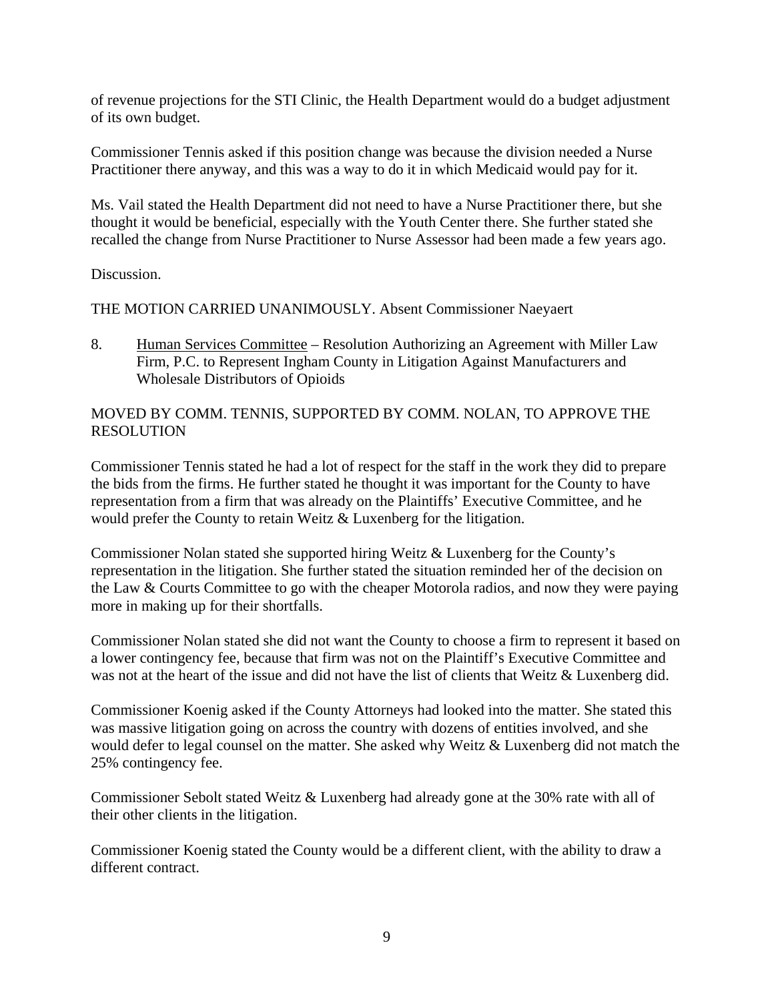of revenue projections for the STI Clinic, the Health Department would do a budget adjustment of its own budget.

Commissioner Tennis asked if this position change was because the division needed a Nurse Practitioner there anyway, and this was a way to do it in which Medicaid would pay for it.

Ms. Vail stated the Health Department did not need to have a Nurse Practitioner there, but she thought it would be beneficial, especially with the Youth Center there. She further stated she recalled the change from Nurse Practitioner to Nurse Assessor had been made a few years ago.

Discussion.

THE MOTION CARRIED UNANIMOUSLY. Absent Commissioner Naeyaert

8. Human Services Committee – Resolution Authorizing an Agreement with Miller Law Firm, P.C. to Represent Ingham County in Litigation Against Manufacturers and Wholesale Distributors of Opioids

### MOVED BY COMM. TENNIS, SUPPORTED BY COMM. NOLAN, TO APPROVE THE RESOLUTION

Commissioner Tennis stated he had a lot of respect for the staff in the work they did to prepare the bids from the firms. He further stated he thought it was important for the County to have representation from a firm that was already on the Plaintiffs' Executive Committee, and he would prefer the County to retain Weitz & Luxenberg for the litigation.

Commissioner Nolan stated she supported hiring Weitz & Luxenberg for the County's representation in the litigation. She further stated the situation reminded her of the decision on the Law & Courts Committee to go with the cheaper Motorola radios, and now they were paying more in making up for their shortfalls.

Commissioner Nolan stated she did not want the County to choose a firm to represent it based on a lower contingency fee, because that firm was not on the Plaintiff's Executive Committee and was not at the heart of the issue and did not have the list of clients that Weitz & Luxenberg did.

Commissioner Koenig asked if the County Attorneys had looked into the matter. She stated this was massive litigation going on across the country with dozens of entities involved, and she would defer to legal counsel on the matter. She asked why Weitz & Luxenberg did not match the 25% contingency fee.

Commissioner Sebolt stated Weitz & Luxenberg had already gone at the 30% rate with all of their other clients in the litigation.

Commissioner Koenig stated the County would be a different client, with the ability to draw a different contract.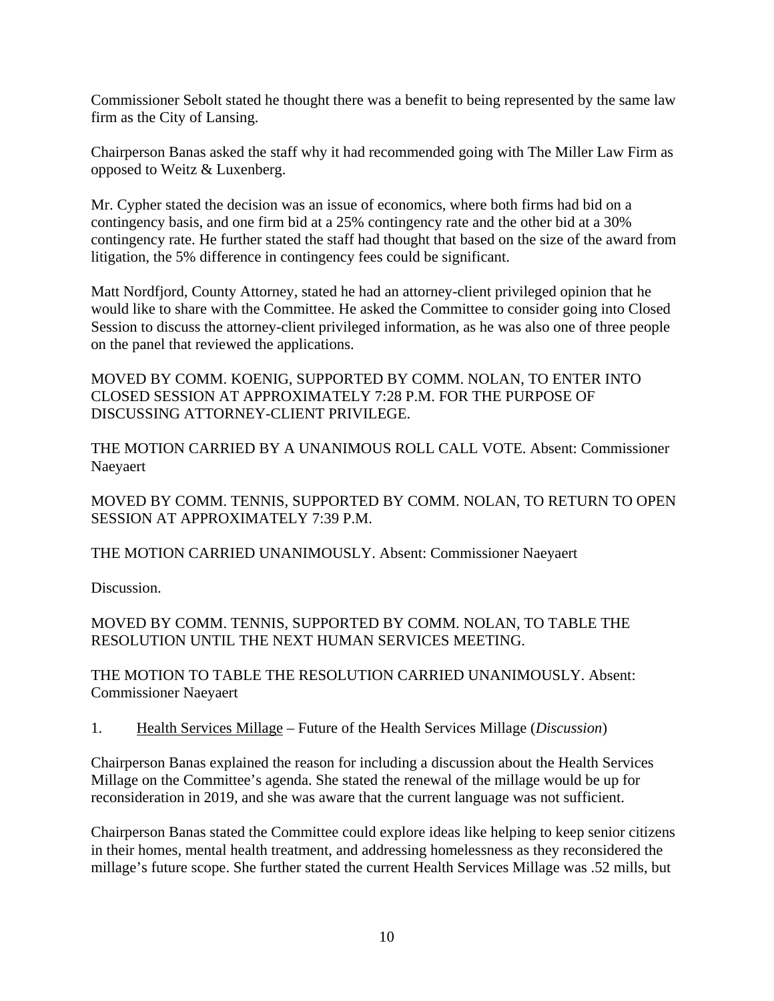Commissioner Sebolt stated he thought there was a benefit to being represented by the same law firm as the City of Lansing.

Chairperson Banas asked the staff why it had recommended going with The Miller Law Firm as opposed to Weitz & Luxenberg.

Mr. Cypher stated the decision was an issue of economics, where both firms had bid on a contingency basis, and one firm bid at a 25% contingency rate and the other bid at a 30% contingency rate. He further stated the staff had thought that based on the size of the award from litigation, the 5% difference in contingency fees could be significant.

Matt Nordfjord, County Attorney, stated he had an attorney-client privileged opinion that he would like to share with the Committee. He asked the Committee to consider going into Closed Session to discuss the attorney-client privileged information, as he was also one of three people on the panel that reviewed the applications.

MOVED BY COMM. KOENIG, SUPPORTED BY COMM. NOLAN, TO ENTER INTO CLOSED SESSION AT APPROXIMATELY 7:28 P.M. FOR THE PURPOSE OF DISCUSSING ATTORNEY-CLIENT PRIVILEGE.

THE MOTION CARRIED BY A UNANIMOUS ROLL CALL VOTE. Absent: Commissioner Naeyaert

MOVED BY COMM. TENNIS, SUPPORTED BY COMM. NOLAN, TO RETURN TO OPEN SESSION AT APPROXIMATELY 7:39 P.M.

THE MOTION CARRIED UNANIMOUSLY. Absent: Commissioner Naeyaert

Discussion.

### MOVED BY COMM. TENNIS, SUPPORTED BY COMM. NOLAN, TO TABLE THE RESOLUTION UNTIL THE NEXT HUMAN SERVICES MEETING.

THE MOTION TO TABLE THE RESOLUTION CARRIED UNANIMOUSLY. Absent: Commissioner Naeyaert

1. Health Services Millage – Future of the Health Services Millage (*Discussion*)

Chairperson Banas explained the reason for including a discussion about the Health Services Millage on the Committee's agenda. She stated the renewal of the millage would be up for reconsideration in 2019, and she was aware that the current language was not sufficient.

Chairperson Banas stated the Committee could explore ideas like helping to keep senior citizens in their homes, mental health treatment, and addressing homelessness as they reconsidered the millage's future scope. She further stated the current Health Services Millage was .52 mills, but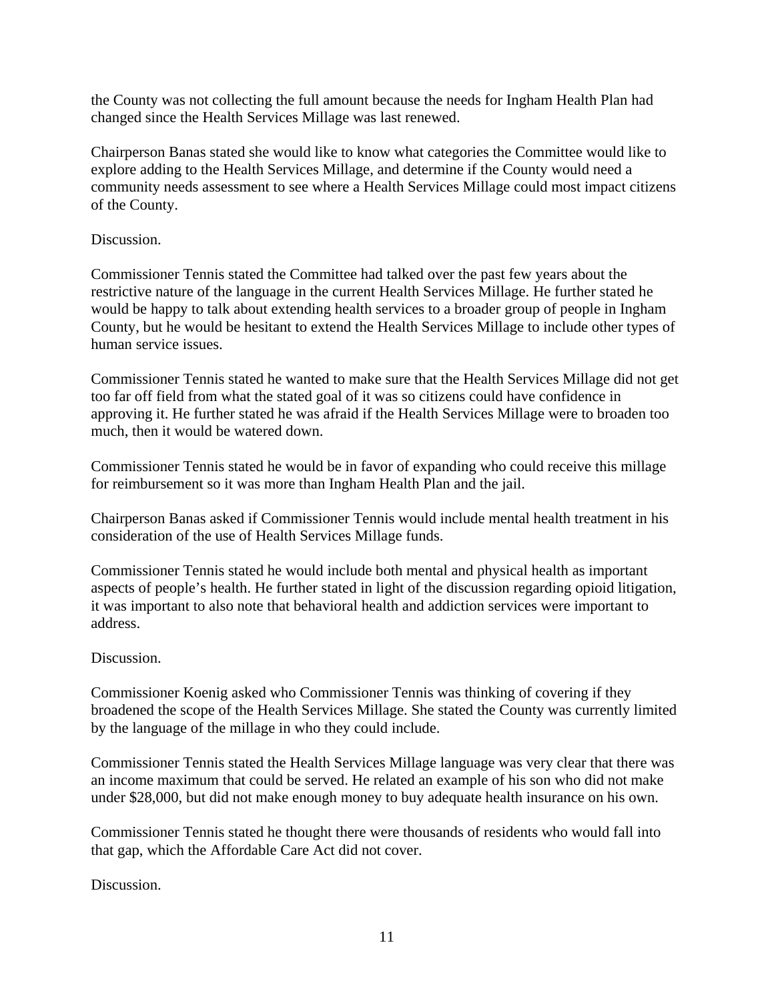the County was not collecting the full amount because the needs for Ingham Health Plan had changed since the Health Services Millage was last renewed.

Chairperson Banas stated she would like to know what categories the Committee would like to explore adding to the Health Services Millage, and determine if the County would need a community needs assessment to see where a Health Services Millage could most impact citizens of the County.

#### Discussion.

Commissioner Tennis stated the Committee had talked over the past few years about the restrictive nature of the language in the current Health Services Millage. He further stated he would be happy to talk about extending health services to a broader group of people in Ingham County, but he would be hesitant to extend the Health Services Millage to include other types of human service issues.

Commissioner Tennis stated he wanted to make sure that the Health Services Millage did not get too far off field from what the stated goal of it was so citizens could have confidence in approving it. He further stated he was afraid if the Health Services Millage were to broaden too much, then it would be watered down.

Commissioner Tennis stated he would be in favor of expanding who could receive this millage for reimbursement so it was more than Ingham Health Plan and the jail.

Chairperson Banas asked if Commissioner Tennis would include mental health treatment in his consideration of the use of Health Services Millage funds.

Commissioner Tennis stated he would include both mental and physical health as important aspects of people's health. He further stated in light of the discussion regarding opioid litigation, it was important to also note that behavioral health and addiction services were important to address.

### Discussion.

Commissioner Koenig asked who Commissioner Tennis was thinking of covering if they broadened the scope of the Health Services Millage. She stated the County was currently limited by the language of the millage in who they could include.

Commissioner Tennis stated the Health Services Millage language was very clear that there was an income maximum that could be served. He related an example of his son who did not make under \$28,000, but did not make enough money to buy adequate health insurance on his own.

Commissioner Tennis stated he thought there were thousands of residents who would fall into that gap, which the Affordable Care Act did not cover.

Discussion.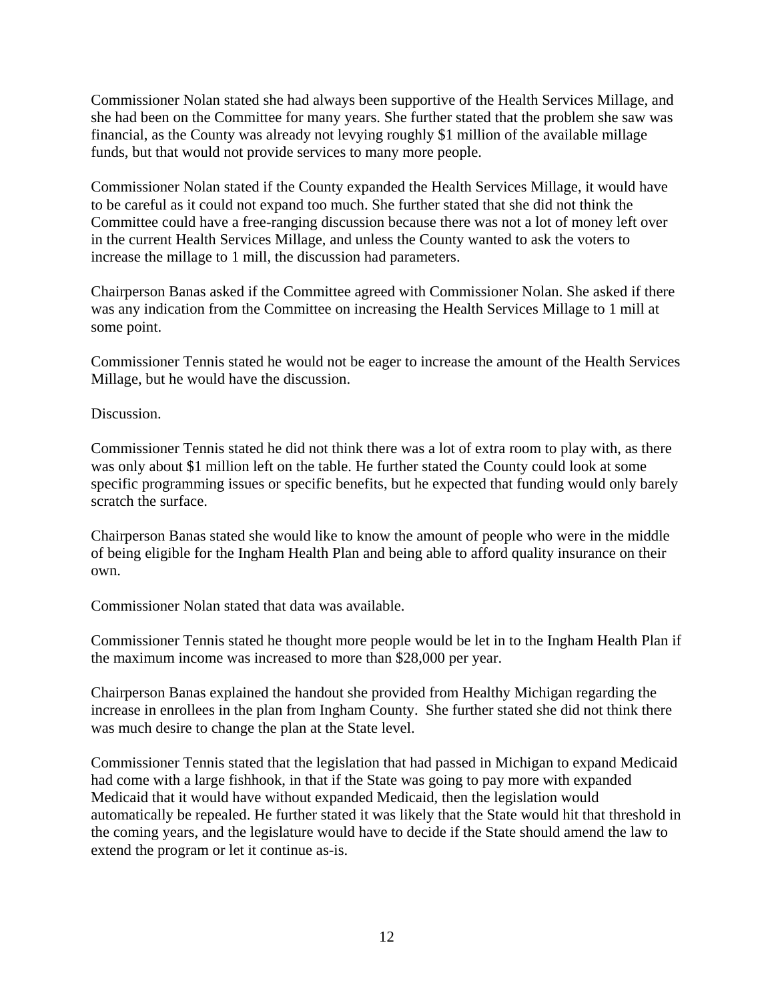Commissioner Nolan stated she had always been supportive of the Health Services Millage, and she had been on the Committee for many years. She further stated that the problem she saw was financial, as the County was already not levying roughly \$1 million of the available millage funds, but that would not provide services to many more people.

Commissioner Nolan stated if the County expanded the Health Services Millage, it would have to be careful as it could not expand too much. She further stated that she did not think the Committee could have a free-ranging discussion because there was not a lot of money left over in the current Health Services Millage, and unless the County wanted to ask the voters to increase the millage to 1 mill, the discussion had parameters.

Chairperson Banas asked if the Committee agreed with Commissioner Nolan. She asked if there was any indication from the Committee on increasing the Health Services Millage to 1 mill at some point.

Commissioner Tennis stated he would not be eager to increase the amount of the Health Services Millage, but he would have the discussion.

Discussion.

Commissioner Tennis stated he did not think there was a lot of extra room to play with, as there was only about \$1 million left on the table. He further stated the County could look at some specific programming issues or specific benefits, but he expected that funding would only barely scratch the surface.

Chairperson Banas stated she would like to know the amount of people who were in the middle of being eligible for the Ingham Health Plan and being able to afford quality insurance on their own.

Commissioner Nolan stated that data was available.

Commissioner Tennis stated he thought more people would be let in to the Ingham Health Plan if the maximum income was increased to more than \$28,000 per year.

Chairperson Banas explained the handout she provided from Healthy Michigan regarding the increase in enrollees in the plan from Ingham County. She further stated she did not think there was much desire to change the plan at the State level.

Commissioner Tennis stated that the legislation that had passed in Michigan to expand Medicaid had come with a large fishhook, in that if the State was going to pay more with expanded Medicaid that it would have without expanded Medicaid, then the legislation would automatically be repealed. He further stated it was likely that the State would hit that threshold in the coming years, and the legislature would have to decide if the State should amend the law to extend the program or let it continue as-is.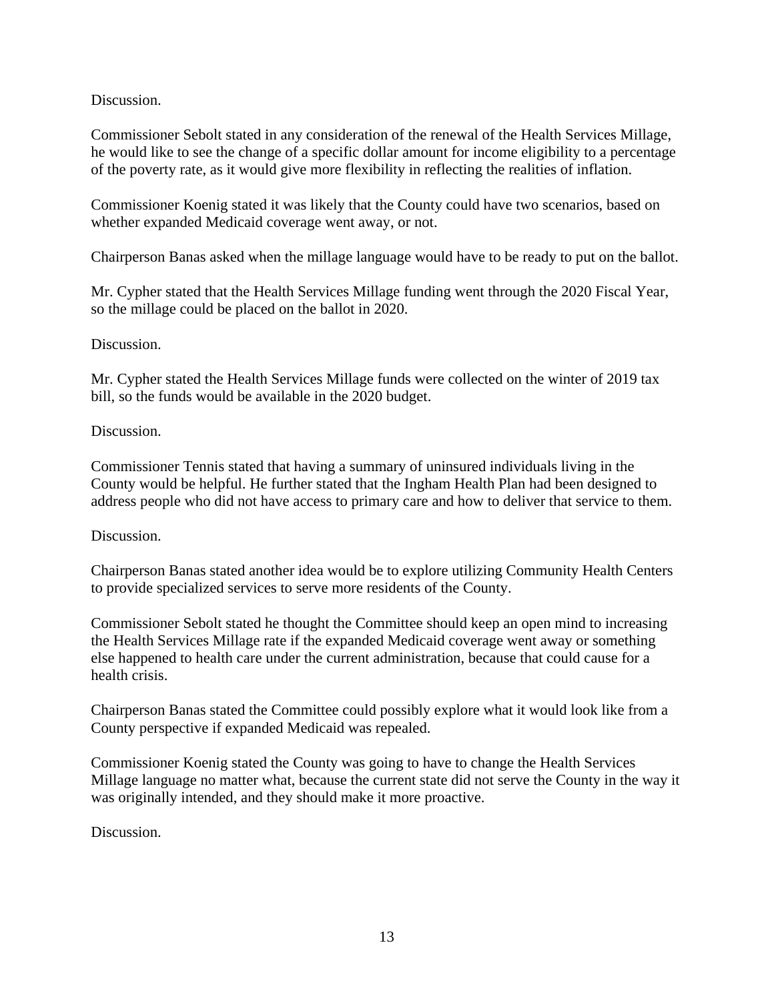Discussion.

Commissioner Sebolt stated in any consideration of the renewal of the Health Services Millage, he would like to see the change of a specific dollar amount for income eligibility to a percentage of the poverty rate, as it would give more flexibility in reflecting the realities of inflation.

Commissioner Koenig stated it was likely that the County could have two scenarios, based on whether expanded Medicaid coverage went away, or not.

Chairperson Banas asked when the millage language would have to be ready to put on the ballot.

Mr. Cypher stated that the Health Services Millage funding went through the 2020 Fiscal Year, so the millage could be placed on the ballot in 2020.

### Discussion.

Mr. Cypher stated the Health Services Millage funds were collected on the winter of 2019 tax bill, so the funds would be available in the 2020 budget.

### Discussion.

Commissioner Tennis stated that having a summary of uninsured individuals living in the County would be helpful. He further stated that the Ingham Health Plan had been designed to address people who did not have access to primary care and how to deliver that service to them.

### Discussion.

Chairperson Banas stated another idea would be to explore utilizing Community Health Centers to provide specialized services to serve more residents of the County.

Commissioner Sebolt stated he thought the Committee should keep an open mind to increasing the Health Services Millage rate if the expanded Medicaid coverage went away or something else happened to health care under the current administration, because that could cause for a health crisis.

Chairperson Banas stated the Committee could possibly explore what it would look like from a County perspective if expanded Medicaid was repealed.

Commissioner Koenig stated the County was going to have to change the Health Services Millage language no matter what, because the current state did not serve the County in the way it was originally intended, and they should make it more proactive.

Discussion.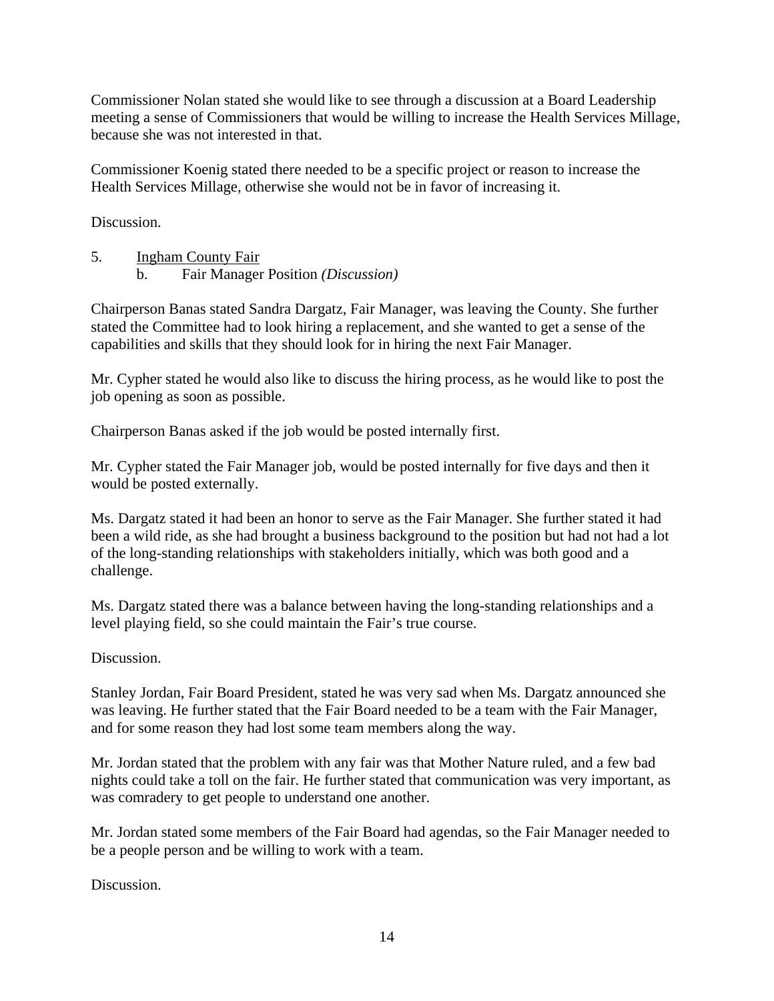Commissioner Nolan stated she would like to see through a discussion at a Board Leadership meeting a sense of Commissioners that would be willing to increase the Health Services Millage, because she was not interested in that.

Commissioner Koenig stated there needed to be a specific project or reason to increase the Health Services Millage, otherwise she would not be in favor of increasing it.

Discussion.

5. Ingham County Fair b. Fair Manager Position *(Discussion)* 

Chairperson Banas stated Sandra Dargatz, Fair Manager, was leaving the County. She further stated the Committee had to look hiring a replacement, and she wanted to get a sense of the capabilities and skills that they should look for in hiring the next Fair Manager.

Mr. Cypher stated he would also like to discuss the hiring process, as he would like to post the job opening as soon as possible.

Chairperson Banas asked if the job would be posted internally first.

Mr. Cypher stated the Fair Manager job, would be posted internally for five days and then it would be posted externally.

Ms. Dargatz stated it had been an honor to serve as the Fair Manager. She further stated it had been a wild ride, as she had brought a business background to the position but had not had a lot of the long-standing relationships with stakeholders initially, which was both good and a challenge.

Ms. Dargatz stated there was a balance between having the long-standing relationships and a level playing field, so she could maintain the Fair's true course.

Discussion.

Stanley Jordan, Fair Board President, stated he was very sad when Ms. Dargatz announced she was leaving. He further stated that the Fair Board needed to be a team with the Fair Manager, and for some reason they had lost some team members along the way.

Mr. Jordan stated that the problem with any fair was that Mother Nature ruled, and a few bad nights could take a toll on the fair. He further stated that communication was very important, as was comradery to get people to understand one another.

Mr. Jordan stated some members of the Fair Board had agendas, so the Fair Manager needed to be a people person and be willing to work with a team.

Discussion.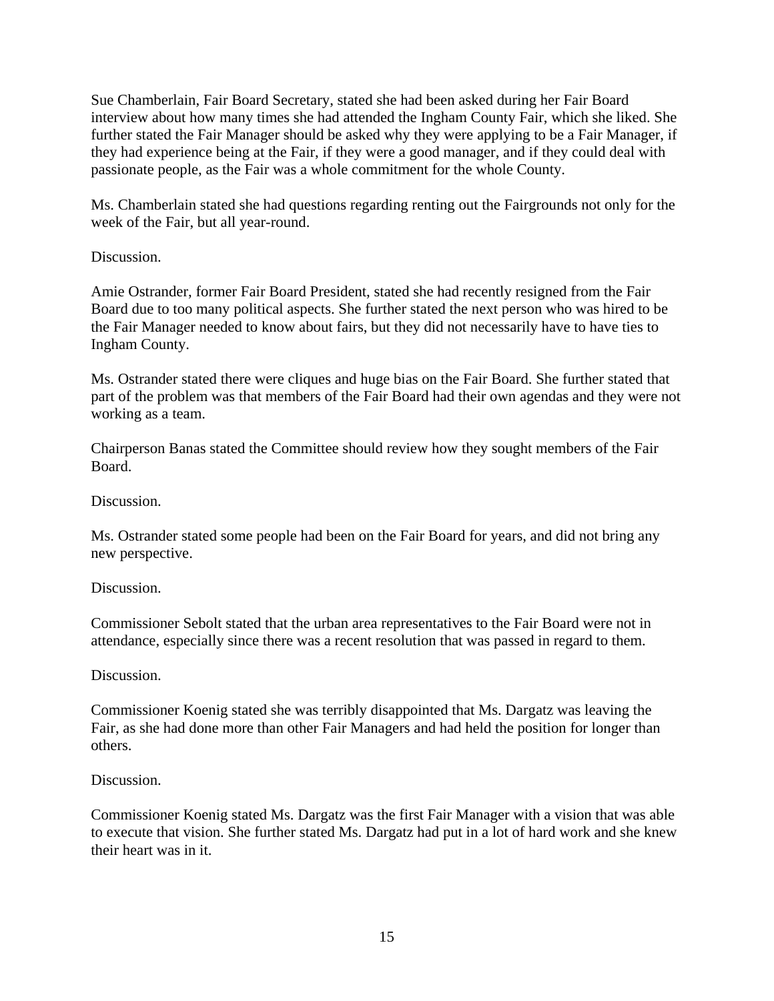Sue Chamberlain, Fair Board Secretary, stated she had been asked during her Fair Board interview about how many times she had attended the Ingham County Fair, which she liked. She further stated the Fair Manager should be asked why they were applying to be a Fair Manager, if they had experience being at the Fair, if they were a good manager, and if they could deal with passionate people, as the Fair was a whole commitment for the whole County.

Ms. Chamberlain stated she had questions regarding renting out the Fairgrounds not only for the week of the Fair, but all year-round.

### Discussion.

Amie Ostrander, former Fair Board President, stated she had recently resigned from the Fair Board due to too many political aspects. She further stated the next person who was hired to be the Fair Manager needed to know about fairs, but they did not necessarily have to have ties to Ingham County.

Ms. Ostrander stated there were cliques and huge bias on the Fair Board. She further stated that part of the problem was that members of the Fair Board had their own agendas and they were not working as a team.

Chairperson Banas stated the Committee should review how they sought members of the Fair Board.

Discussion.

Ms. Ostrander stated some people had been on the Fair Board for years, and did not bring any new perspective.

Discussion.

Commissioner Sebolt stated that the urban area representatives to the Fair Board were not in attendance, especially since there was a recent resolution that was passed in regard to them.

#### Discussion.

Commissioner Koenig stated she was terribly disappointed that Ms. Dargatz was leaving the Fair, as she had done more than other Fair Managers and had held the position for longer than others.

#### Discussion.

Commissioner Koenig stated Ms. Dargatz was the first Fair Manager with a vision that was able to execute that vision. She further stated Ms. Dargatz had put in a lot of hard work and she knew their heart was in it.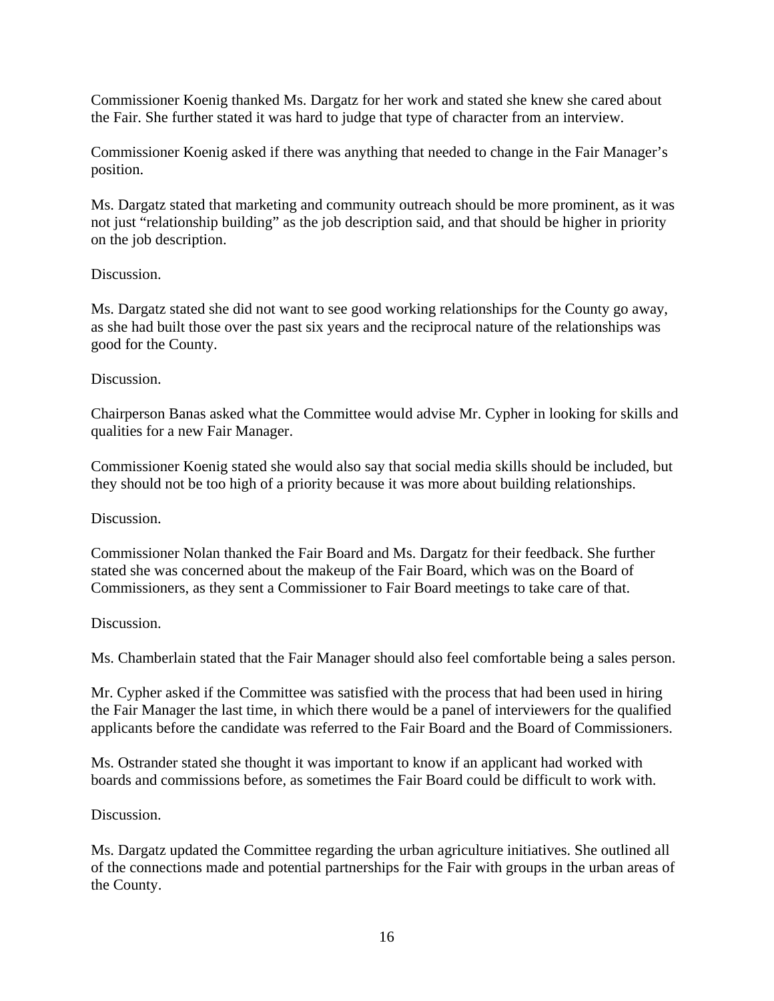Commissioner Koenig thanked Ms. Dargatz for her work and stated she knew she cared about the Fair. She further stated it was hard to judge that type of character from an interview.

Commissioner Koenig asked if there was anything that needed to change in the Fair Manager's position.

Ms. Dargatz stated that marketing and community outreach should be more prominent, as it was not just "relationship building" as the job description said, and that should be higher in priority on the job description.

#### Discussion.

Ms. Dargatz stated she did not want to see good working relationships for the County go away, as she had built those over the past six years and the reciprocal nature of the relationships was good for the County.

#### Discussion.

Chairperson Banas asked what the Committee would advise Mr. Cypher in looking for skills and qualities for a new Fair Manager.

Commissioner Koenig stated she would also say that social media skills should be included, but they should not be too high of a priority because it was more about building relationships.

#### Discussion.

Commissioner Nolan thanked the Fair Board and Ms. Dargatz for their feedback. She further stated she was concerned about the makeup of the Fair Board, which was on the Board of Commissioners, as they sent a Commissioner to Fair Board meetings to take care of that.

#### Discussion.

Ms. Chamberlain stated that the Fair Manager should also feel comfortable being a sales person.

Mr. Cypher asked if the Committee was satisfied with the process that had been used in hiring the Fair Manager the last time, in which there would be a panel of interviewers for the qualified applicants before the candidate was referred to the Fair Board and the Board of Commissioners.

Ms. Ostrander stated she thought it was important to know if an applicant had worked with boards and commissions before, as sometimes the Fair Board could be difficult to work with.

#### Discussion.

Ms. Dargatz updated the Committee regarding the urban agriculture initiatives. She outlined all of the connections made and potential partnerships for the Fair with groups in the urban areas of the County.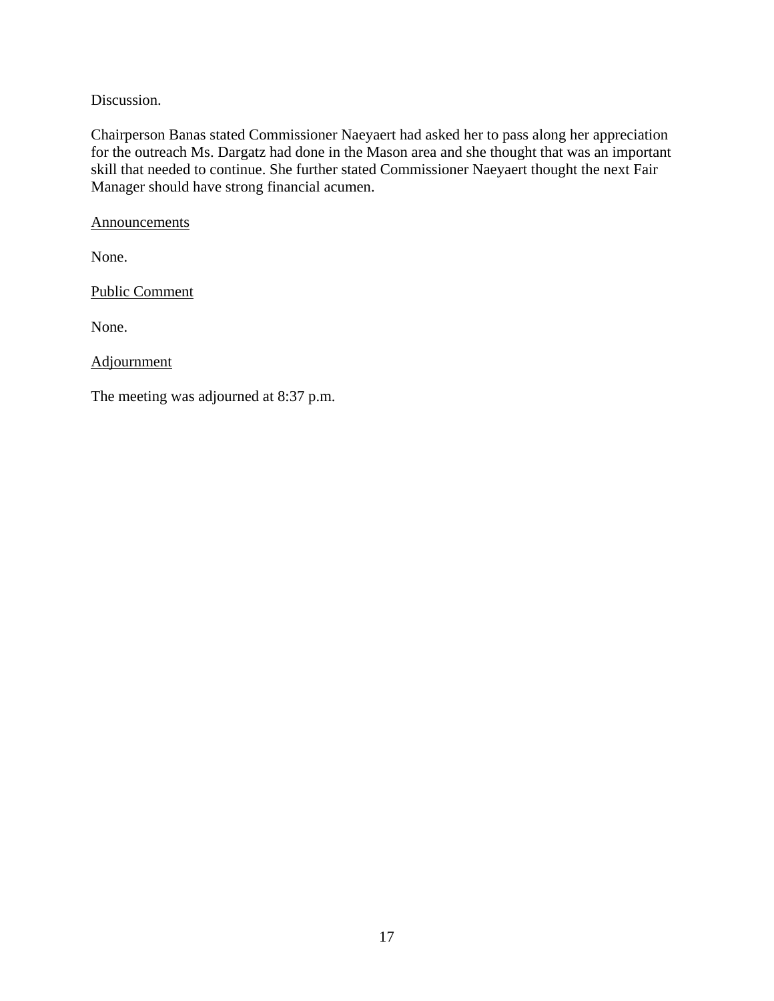Discussion.

Chairperson Banas stated Commissioner Naeyaert had asked her to pass along her appreciation for the outreach Ms. Dargatz had done in the Mason area and she thought that was an important skill that needed to continue. She further stated Commissioner Naeyaert thought the next Fair Manager should have strong financial acumen.

**Announcements** 

None.

Public Comment

None.

Adjournment

The meeting was adjourned at 8:37 p.m.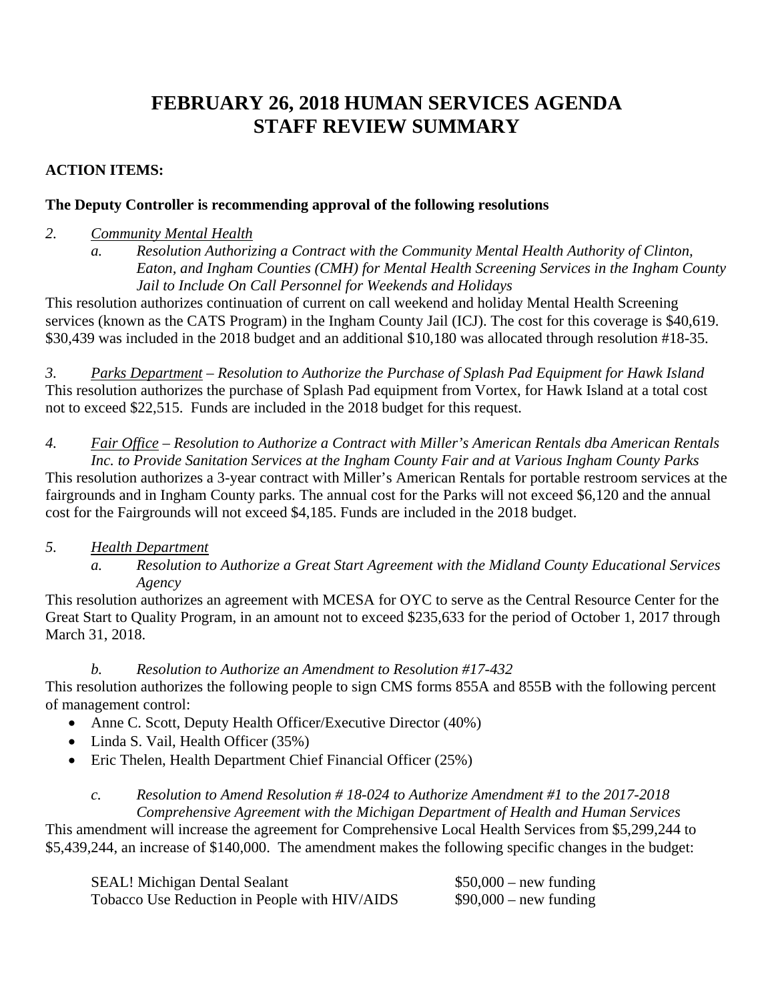# **FEBRUARY 26, 2018 HUMAN SERVICES AGENDA STAFF REVIEW SUMMARY**

### **ACTION ITEMS:**

### **The Deputy Controller is recommending approval of the following resolutions**

### *2. Community Mental Health*

*a. Resolution Authorizing a Contract with the Community Mental Health Authority of Clinton, Eaton, and Ingham Counties (CMH) for Mental Health Screening Services in the Ingham County Jail to Include On Call Personnel for Weekends and Holidays* 

This resolution authorizes continuation of current on call weekend and holiday Mental Health Screening services (known as the CATS Program) in the Ingham County Jail (ICJ). The cost for this coverage is \$40,619. \$30,439 was included in the 2018 budget and an additional \$10,180 was allocated through resolution #18-35.

*3. Parks Department – Resolution to Authorize the Purchase of Splash Pad Equipment for Hawk Island*  This resolution authorizes the purchase of Splash Pad equipment from Vortex, for Hawk Island at a total cost not to exceed \$22,515. Funds are included in the 2018 budget for this request.

*4. Fair Office – Resolution to Authorize a Contract with Miller's American Rentals dba American Rentals Inc. to Provide Sanitation Services at the Ingham County Fair and at Various Ingham County Parks*  This resolution authorizes a 3-year contract with Miller's American Rentals for portable restroom services at the fairgrounds and in Ingham County parks*.* The annual cost for the Parks will not exceed \$6,120 and the annual cost for the Fairgrounds will not exceed \$4,185. Funds are included in the 2018 budget.

### *5. Health Department*

*a. Resolution to Authorize a Great Start Agreement with the Midland County Educational Services Agency* 

This resolution authorizes an agreement with MCESA for OYC to serve as the Central Resource Center for the Great Start to Quality Program, in an amount not to exceed \$235,633 for the period of October 1, 2017 through March 31, 2018.

*b. Resolution to Authorize an Amendment to Resolution #17-432*  This resolution authorizes the following people to sign CMS forms 855A and 855B with the following percent of management control:

- Anne C. Scott, Deputy Health Officer/Executive Director (40%)
- Linda S. Vail, Health Officer (35%)
- Eric Thelen, Health Department Chief Financial Officer (25%)

### *c. Resolution to Amend Resolution # 18-024 to Authorize Amendment #1 to the 2017-2018 Comprehensive Agreement with the Michigan Department of Health and Human Services*

This amendment will increase the agreement for Comprehensive Local Health Services from \$5,299,244 to \$5,439,244, an increase of \$140,000. The amendment makes the following specific changes in the budget:

| <b>SEAL! Michigan Dental Sealant</b>          | $$50,000$ – new funding |
|-----------------------------------------------|-------------------------|
| Tobacco Use Reduction in People with HIV/AIDS | $$90,000$ – new funding |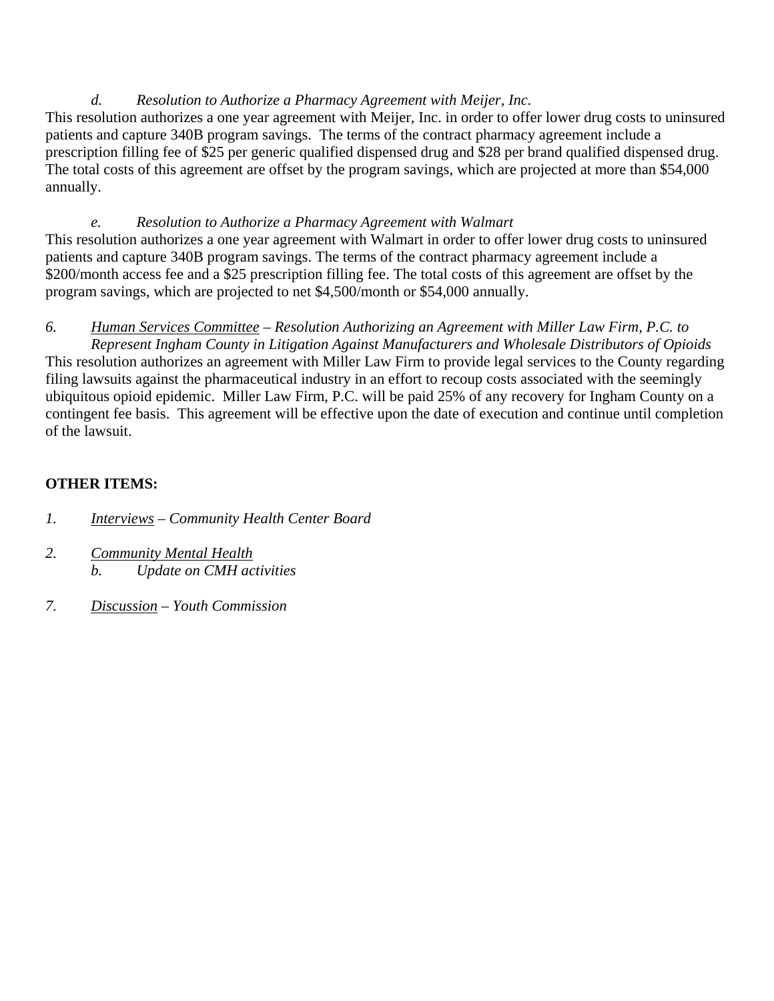### *d. Resolution to Authorize a Pharmacy Agreement with Meijer, Inc.*

This resolution authorizes a one year agreement with Meijer, Inc. in order to offer lower drug costs to uninsured patients and capture 340B program savings. The terms of the contract pharmacy agreement include a prescription filling fee of \$25 per generic qualified dispensed drug and \$28 per brand qualified dispensed drug. The total costs of this agreement are offset by the program savings, which are projected at more than \$54,000 annually.

*e. Resolution to Authorize a Pharmacy Agreement with Walmart*  This resolution authorizes a one year agreement with Walmart in order to offer lower drug costs to uninsured patients and capture 340B program savings. The terms of the contract pharmacy agreement include a \$200/month access fee and a \$25 prescription filling fee. The total costs of this agreement are offset by the program savings, which are projected to net \$4,500/month or \$54,000 annually.

*6. Human Services Committee – Resolution Authorizing an Agreement with Miller Law Firm, P.C. to Represent Ingham County in Litigation Against Manufacturers and Wholesale Distributors of Opioids*  This resolution authorizes an agreement with Miller Law Firm to provide legal services to the County regarding filing lawsuits against the pharmaceutical industry in an effort to recoup costs associated with the seemingly ubiquitous opioid epidemic. Miller Law Firm, P.C. will be paid 25% of any recovery for Ingham County on a contingent fee basis. This agreement will be effective upon the date of execution and continue until completion of the lawsuit.

# **OTHER ITEMS:**

- *1. Interviews Community Health Center Board*
- *2. Community Mental Health b. Update on CMH activities*
- *7. Discussion Youth Commission*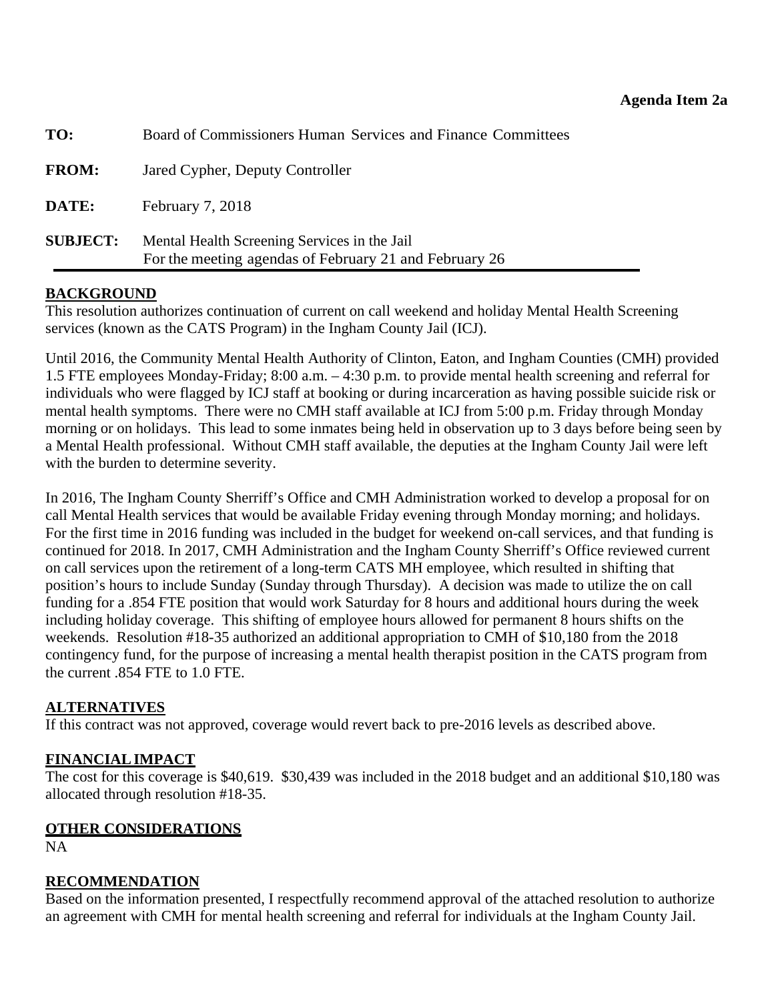<span id="page-21-0"></span>

| TO:             | Board of Commissioners Human Services and Finance Committees                                           |
|-----------------|--------------------------------------------------------------------------------------------------------|
| <b>FROM:</b>    | Jared Cypher, Deputy Controller                                                                        |
| DATE:           | February $7, 2018$                                                                                     |
| <b>SUBJECT:</b> | Mental Health Screening Services in the Jail<br>For the meeting agendas of February 21 and February 26 |

### **BACKGROUND**

This resolution authorizes continuation of current on call weekend and holiday Mental Health Screening services (known as the CATS Program) in the Ingham County Jail (ICJ).

Until 2016, the Community Mental Health Authority of Clinton, Eaton, and Ingham Counties (CMH) provided 1.5 FTE employees Monday-Friday; 8:00 a.m. – 4:30 p.m. to provide mental health screening and referral for individuals who were flagged by ICJ staff at booking or during incarceration as having possible suicide risk or mental health symptoms. There were no CMH staff available at ICJ from 5:00 p.m. Friday through Monday morning or on holidays. This lead to some inmates being held in observation up to 3 days before being seen by a Mental Health professional. Without CMH staff available, the deputies at the Ingham County Jail were left with the burden to determine severity.

In 2016, The Ingham County Sherriff's Office and CMH Administration worked to develop a proposal for on call Mental Health services that would be available Friday evening through Monday morning; and holidays. For the first time in 2016 funding was included in the budget for weekend on-call services, and that funding is continued for 2018. In 2017, CMH Administration and the Ingham County Sherriff's Office reviewed current on call services upon the retirement of a long-term CATS MH employee, which resulted in shifting that position's hours to include Sunday (Sunday through Thursday). A decision was made to utilize the on call funding for a .854 FTE position that would work Saturday for 8 hours and additional hours during the week including holiday coverage. This shifting of employee hours allowed for permanent 8 hours shifts on the weekends. Resolution #18-35 authorized an additional appropriation to CMH of \$10,180 from the 2018 contingency fund, for the purpose of increasing a mental health therapist position in the CATS program from the current .854 FTE to 1.0 FTE.

### **ALTERNATIVES**

If this contract was not approved, coverage would revert back to pre-2016 levels as described above.

### **FINANCIAL IMPACT**

The cost for this coverage is \$40,619. \$30,439 was included in the 2018 budget and an additional \$10,180 was allocated through resolution #18-35.

### **OTHER CONSIDERATIONS**

NA

### **RECOMMENDATION**

Based on the information presented, I respectfully recommend approval of the attached resolution to authorize an agreement with CMH for mental health screening and referral for individuals at the Ingham County Jail.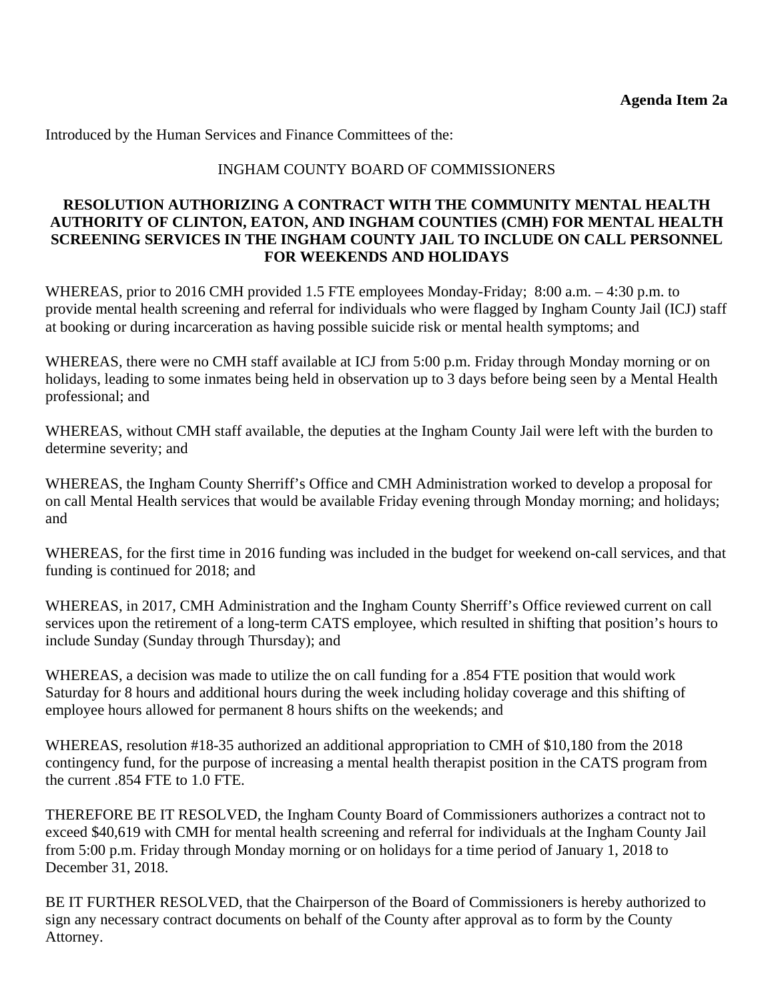Introduced by the Human Services and Finance Committees of the:

#### INGHAM COUNTY BOARD OF COMMISSIONERS

#### **RESOLUTION AUTHORIZING A CONTRACT WITH THE COMMUNITY MENTAL HEALTH AUTHORITY OF CLINTON, EATON, AND INGHAM COUNTIES (CMH) FOR MENTAL HEALTH SCREENING SERVICES IN THE INGHAM COUNTY JAIL TO INCLUDE ON CALL PERSONNEL FOR WEEKENDS AND HOLIDAYS**

WHEREAS, prior to 2016 CMH provided 1.5 FTE employees Monday-Friday; 8:00 a.m. – 4:30 p.m. to provide mental health screening and referral for individuals who were flagged by Ingham County Jail (ICJ) staff at booking or during incarceration as having possible suicide risk or mental health symptoms; and

WHEREAS, there were no CMH staff available at ICJ from 5:00 p.m. Friday through Monday morning or on holidays, leading to some inmates being held in observation up to 3 days before being seen by a Mental Health professional; and

WHEREAS, without CMH staff available, the deputies at the Ingham County Jail were left with the burden to determine severity; and

WHEREAS, the Ingham County Sherriff's Office and CMH Administration worked to develop a proposal for on call Mental Health services that would be available Friday evening through Monday morning; and holidays; and

WHEREAS, for the first time in 2016 funding was included in the budget for weekend on-call services, and that funding is continued for 2018; and

WHEREAS, in 2017, CMH Administration and the Ingham County Sherriff's Office reviewed current on call services upon the retirement of a long-term CATS employee, which resulted in shifting that position's hours to include Sunday (Sunday through Thursday); and

WHEREAS, a decision was made to utilize the on call funding for a .854 FTE position that would work Saturday for 8 hours and additional hours during the week including holiday coverage and this shifting of employee hours allowed for permanent 8 hours shifts on the weekends; and

WHEREAS, resolution #18-35 authorized an additional appropriation to CMH of \$10,180 from the 2018 contingency fund, for the purpose of increasing a mental health therapist position in the CATS program from the current .854 FTE to 1.0 FTE.

THEREFORE BE IT RESOLVED, the Ingham County Board of Commissioners authorizes a contract not to exceed \$40,619 with CMH for mental health screening and referral for individuals at the Ingham County Jail from 5:00 p.m. Friday through Monday morning or on holidays for a time period of January 1, 2018 to December 31, 2018.

BE IT FURTHER RESOLVED, that the Chairperson of the Board of Commissioners is hereby authorized to sign any necessary contract documents on behalf of the County after approval as to form by the County Attorney.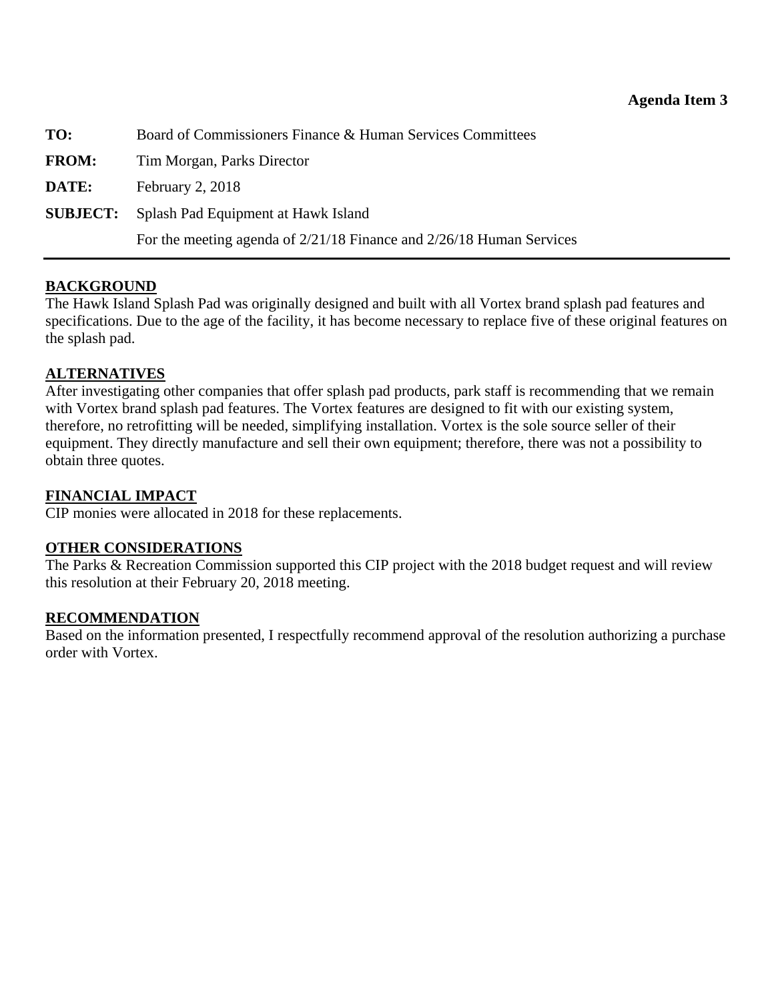<span id="page-23-0"></span>

| TO:          | Board of Commissioners Finance & Human Services Committees               |  |
|--------------|--------------------------------------------------------------------------|--|
| <b>FROM:</b> | Tim Morgan, Parks Director                                               |  |
| DATE:        | February $2, 2018$                                                       |  |
|              | <b>SUBJECT:</b> Splash Pad Equipment at Hawk Island                      |  |
|              | For the meeting agenda of $2/21/18$ Finance and $2/26/18$ Human Services |  |

### **BACKGROUND**

The Hawk Island Splash Pad was originally designed and built with all Vortex brand splash pad features and specifications. Due to the age of the facility, it has become necessary to replace five of these original features on the splash pad.

### **ALTERNATIVES**

After investigating other companies that offer splash pad products, park staff is recommending that we remain with Vortex brand splash pad features. The Vortex features are designed to fit with our existing system, therefore, no retrofitting will be needed, simplifying installation. Vortex is the sole source seller of their equipment. They directly manufacture and sell their own equipment; therefore, there was not a possibility to obtain three quotes.

#### **FINANCIAL IMPACT**

CIP monies were allocated in 2018 for these replacements.

#### **OTHER CONSIDERATIONS**

The Parks & Recreation Commission supported this CIP project with the 2018 budget request and will review this resolution at their February 20, 2018 meeting.

#### **RECOMMENDATION**

Based on the information presented, I respectfully recommend approval of the resolution authorizing a purchase order with Vortex.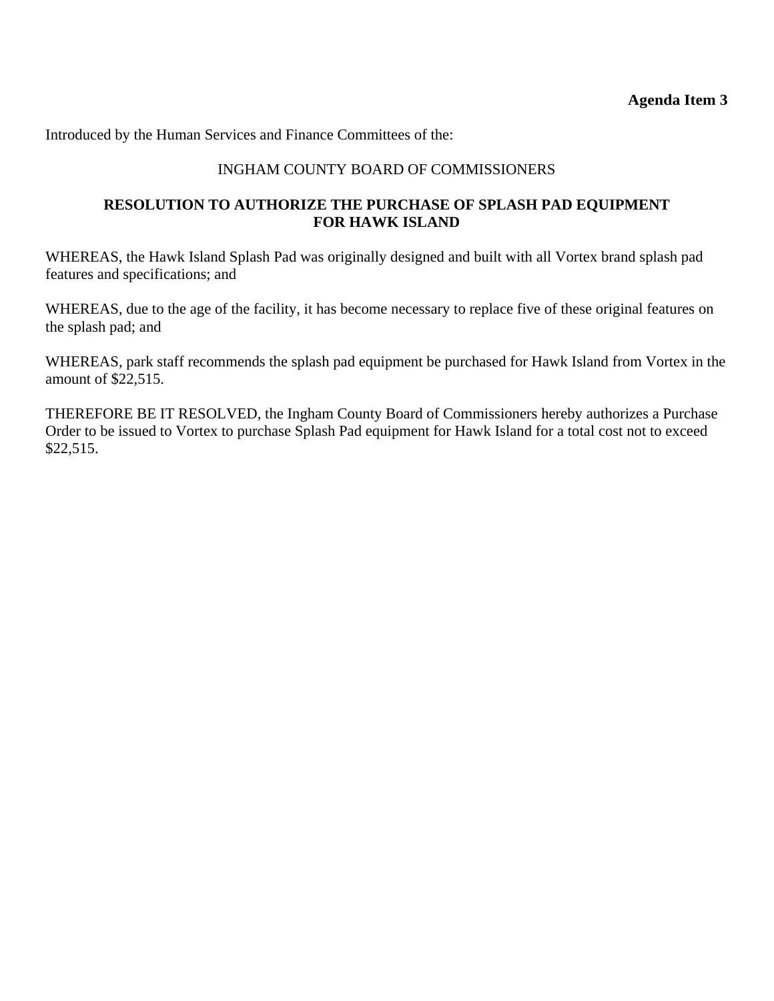Introduced by the Human Services and Finance Committees of the:

### INGHAM COUNTY BOARD OF COMMISSIONERS

#### **RESOLUTION TO AUTHORIZE THE PURCHASE OF SPLASH PAD EQUIPMENT FOR HAWK ISLAND**

WHEREAS, the Hawk Island Splash Pad was originally designed and built with all Vortex brand splash pad features and specifications; and

WHEREAS, due to the age of the facility, it has become necessary to replace five of these original features on the splash pad; and

WHEREAS, park staff recommends the splash pad equipment be purchased for Hawk Island from Vortex in the amount of \$22,515.

THEREFORE BE IT RESOLVED, the Ingham County Board of Commissioners hereby authorizes a Purchase Order to be issued to Vortex to purchase Splash Pad equipment for Hawk Island for a total cost not to exceed \$22,515.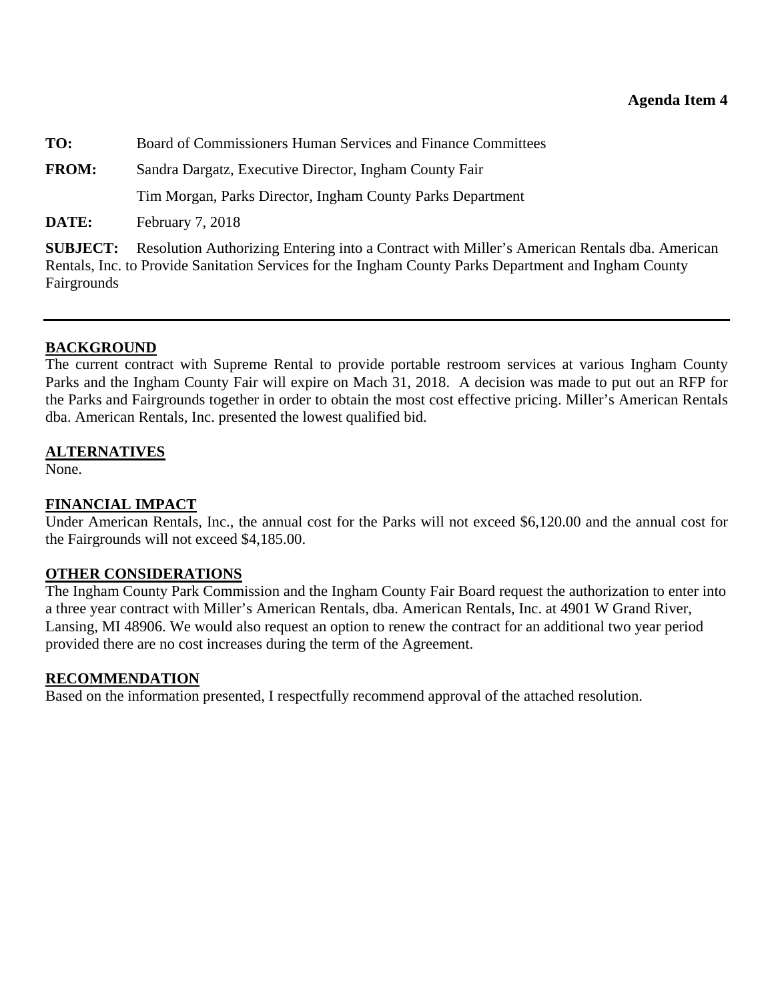<span id="page-25-0"></span>**TO:** Board of Commissioners Human Services and Finance Committees

**FROM:** Sandra Dargatz, Executive Director, Ingham County Fair

Tim Morgan, Parks Director, Ingham County Parks Department

**DATE:** February 7, 2018

**SUBJECT:** Resolution Authorizing Entering into a Contract with Miller's American Rentals dba. American Rentals, Inc. to Provide Sanitation Services for the Ingham County Parks Department and Ingham County Fairgrounds

### **BACKGROUND**

The current contract with Supreme Rental to provide portable restroom services at various Ingham County Parks and the Ingham County Fair will expire on Mach 31, 2018. A decision was made to put out an RFP for the Parks and Fairgrounds together in order to obtain the most cost effective pricing. Miller's American Rentals dba. American Rentals, Inc. presented the lowest qualified bid.

### **ALTERNATIVES**

None.

### **FINANCIAL IMPACT**

Under American Rentals, Inc., the annual cost for the Parks will not exceed \$6,120.00 and the annual cost for the Fairgrounds will not exceed \$4,185.00.

### **OTHER CONSIDERATIONS**

The Ingham County Park Commission and the Ingham County Fair Board request the authorization to enter into a three year contract with Miller's American Rentals, dba. American Rentals, Inc. at 4901 W Grand River, Lansing, MI 48906. We would also request an option to renew the contract for an additional two year period provided there are no cost increases during the term of the Agreement.

### **RECOMMENDATION**

Based on the information presented, I respectfully recommend approval of the attached resolution.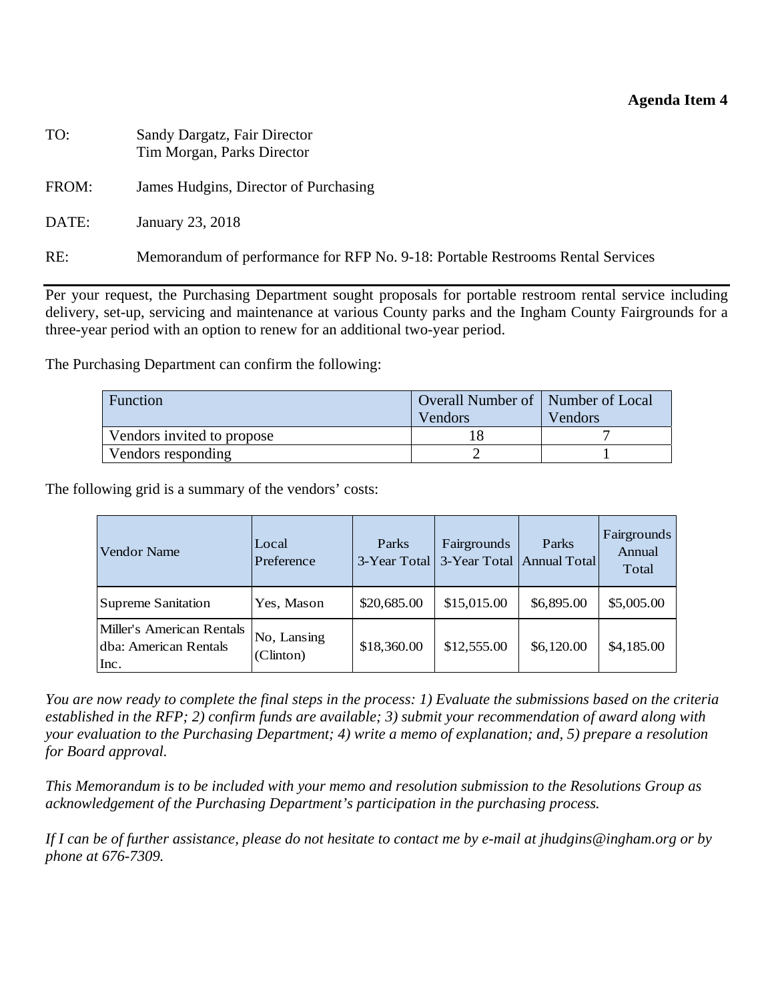#### **Agenda Item 4**

| TO:   | Sandy Dargatz, Fair Director<br>Tim Morgan, Parks Director                     |
|-------|--------------------------------------------------------------------------------|
| FROM: | James Hudgins, Director of Purchasing                                          |
| DATE: | January 23, 2018                                                               |
| RE:   | Memorandum of performance for RFP No. 9-18: Portable Restrooms Rental Services |

Per your request, the Purchasing Department sought proposals for portable restroom rental service including delivery, set-up, servicing and maintenance at various County parks and the Ingham County Fairgrounds for a three-year period with an option to renew for an additional two-year period.

The Purchasing Department can confirm the following:

| Overall Number of   Number of Local<br>Function |         |         |  |
|-------------------------------------------------|---------|---------|--|
|                                                 | Vendors | Vendors |  |
| Vendors invited to propose                      |         |         |  |
| Vendors responding                              |         |         |  |

The following grid is a summary of the vendors' costs:

| Vendor Name                                                | Local<br>Preference      | Parks       | <b>Fairgrounds</b><br>3-Year Total 3-Year Total Annual Total | Parks      | Fairgrounds<br>Annual<br>Total |
|------------------------------------------------------------|--------------------------|-------------|--------------------------------------------------------------|------------|--------------------------------|
| Supreme Sanitation                                         | Yes, Mason               | \$20,685.00 | \$15,015.00                                                  | \$6,895.00 | \$5,005.00                     |
| Miller's American Rentals<br>dba: American Rentals<br>Inc. | No, Lansing<br>(Clinton) | \$18,360.00 | \$12,555.00                                                  | \$6,120.00 | \$4,185.00                     |

*You are now ready to complete the final steps in the process: 1) Evaluate the submissions based on the criteria established in the RFP; 2) confirm funds are available; 3) submit your recommendation of award along with your evaluation to the Purchasing Department; 4) write a memo of explanation; and, 5) prepare a resolution for Board approval.* 

*This Memorandum is to be included with your memo and resolution submission to the Resolutions Group as acknowledgement of the Purchasing Department's participation in the purchasing process.* 

*If I can be of further assistance, please do not hesitate to contact me by e-mail at jhudgins@ingham.org or by phone at 676-7309.*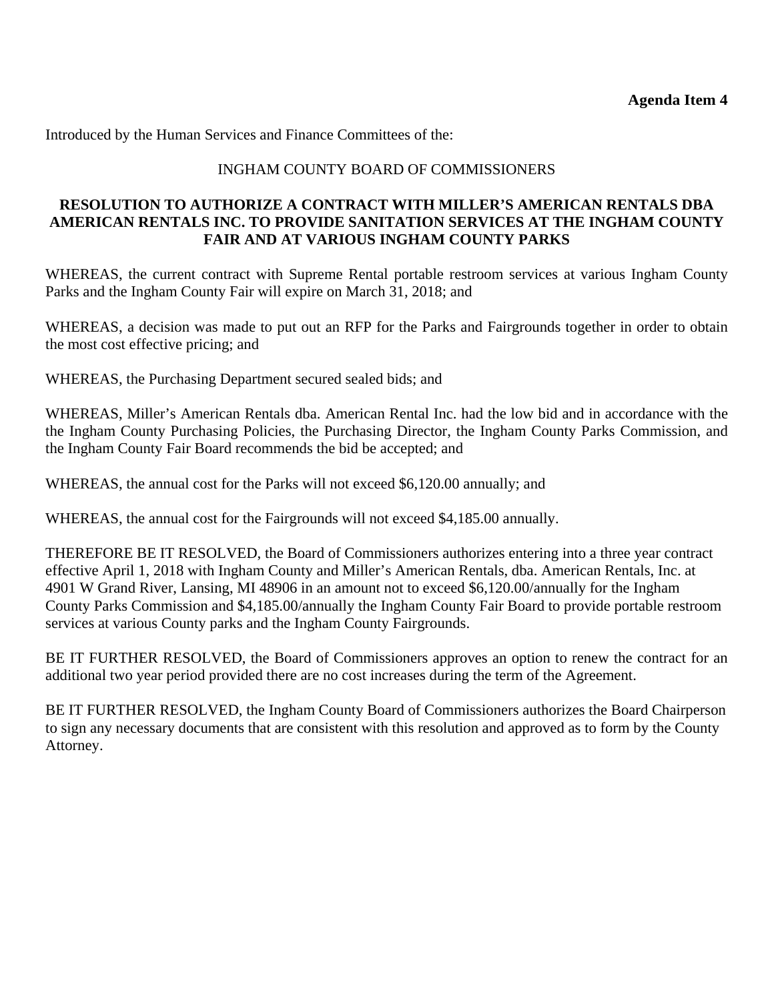Introduced by the Human Services and Finance Committees of the:

### INGHAM COUNTY BOARD OF COMMISSIONERS

#### **RESOLUTION TO AUTHORIZE A CONTRACT WITH MILLER'S AMERICAN RENTALS DBA AMERICAN RENTALS INC. TO PROVIDE SANITATION SERVICES AT THE INGHAM COUNTY FAIR AND AT VARIOUS INGHAM COUNTY PARKS**

WHEREAS, the current contract with Supreme Rental portable restroom services at various Ingham County Parks and the Ingham County Fair will expire on March 31, 2018; and

WHEREAS, a decision was made to put out an RFP for the Parks and Fairgrounds together in order to obtain the most cost effective pricing; and

WHEREAS, the Purchasing Department secured sealed bids; and

WHEREAS, Miller's American Rentals dba. American Rental Inc. had the low bid and in accordance with the the Ingham County Purchasing Policies, the Purchasing Director, the Ingham County Parks Commission, and the Ingham County Fair Board recommends the bid be accepted; and

WHEREAS, the annual cost for the Parks will not exceed \$6,120.00 annually; and

WHEREAS, the annual cost for the Fairgrounds will not exceed \$4,185.00 annually.

THEREFORE BE IT RESOLVED, the Board of Commissioners authorizes entering into a three year contract effective April 1, 2018 with Ingham County and Miller's American Rentals, dba. American Rentals, Inc. at 4901 W Grand River, Lansing, MI 48906 in an amount not to exceed \$6,120.00/annually for the Ingham County Parks Commission and \$4,185.00/annually the Ingham County Fair Board to provide portable restroom services at various County parks and the Ingham County Fairgrounds.

BE IT FURTHER RESOLVED, the Board of Commissioners approves an option to renew the contract for an additional two year period provided there are no cost increases during the term of the Agreement.

BE IT FURTHER RESOLVED, the Ingham County Board of Commissioners authorizes the Board Chairperson to sign any necessary documents that are consistent with this resolution and approved as to form by the County Attorney.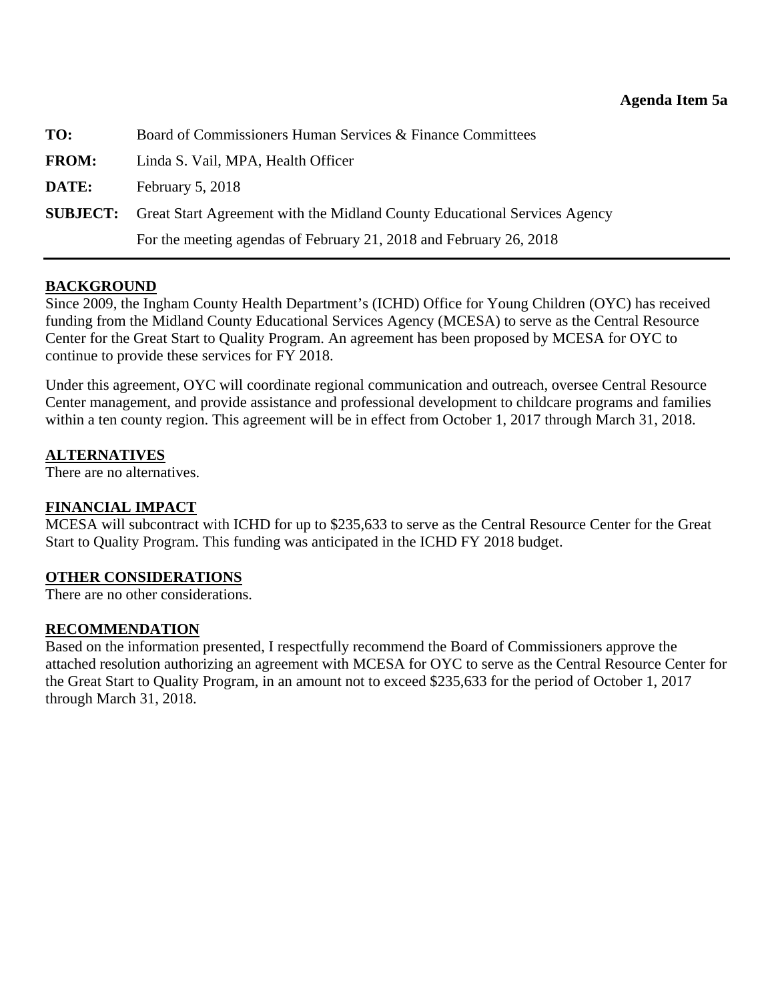<span id="page-28-0"></span>

| TO:          | Board of Commissioners Human Services & Finance Committees                                |  |
|--------------|-------------------------------------------------------------------------------------------|--|
| <b>FROM:</b> | Linda S. Vail, MPA, Health Officer                                                        |  |
| DATE:        | February $5, 2018$                                                                        |  |
|              | <b>SUBJECT:</b> Great Start Agreement with the Midland County Educational Services Agency |  |
|              | For the meeting agendas of February 21, 2018 and February 26, 2018                        |  |

### **BACKGROUND**

Since 2009, the Ingham County Health Department's (ICHD) Office for Young Children (OYC) has received funding from the Midland County Educational Services Agency (MCESA) to serve as the Central Resource Center for the Great Start to Quality Program. An agreement has been proposed by MCESA for OYC to continue to provide these services for FY 2018.

Under this agreement, OYC will coordinate regional communication and outreach, oversee Central Resource Center management, and provide assistance and professional development to childcare programs and families within a ten county region. This agreement will be in effect from October 1, 2017 through March 31, 2018.

### **ALTERNATIVES**

There are no alternatives.

### **FINANCIAL IMPACT**

MCESA will subcontract with ICHD for up to \$235,633 to serve as the Central Resource Center for the Great Start to Quality Program. This funding was anticipated in the ICHD FY 2018 budget.

### **OTHER CONSIDERATIONS**

There are no other considerations.

### **RECOMMENDATION**

Based on the information presented, I respectfully recommend the Board of Commissioners approve the attached resolution authorizing an agreement with MCESA for OYC to serve as the Central Resource Center for the Great Start to Quality Program, in an amount not to exceed \$235,633 for the period of October 1, 2017 through March 31, 2018.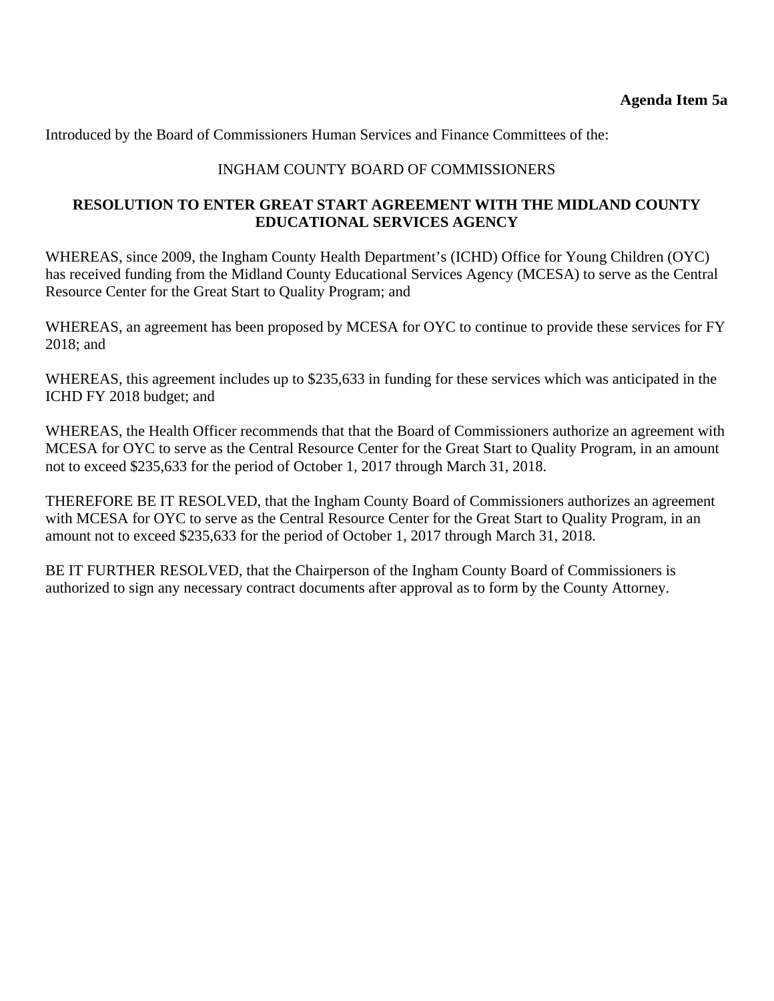Introduced by the Board of Commissioners Human Services and Finance Committees of the:

#### INGHAM COUNTY BOARD OF COMMISSIONERS

#### **RESOLUTION TO ENTER GREAT START AGREEMENT WITH THE MIDLAND COUNTY EDUCATIONAL SERVICES AGENCY**

WHEREAS, since 2009, the Ingham County Health Department's (ICHD) Office for Young Children (OYC) has received funding from the Midland County Educational Services Agency (MCESA) to serve as the Central Resource Center for the Great Start to Quality Program; and

WHEREAS, an agreement has been proposed by MCESA for OYC to continue to provide these services for FY 2018; and

WHEREAS, this agreement includes up to \$235,633 in funding for these services which was anticipated in the ICHD FY 2018 budget; and

WHEREAS, the Health Officer recommends that that the Board of Commissioners authorize an agreement with MCESA for OYC to serve as the Central Resource Center for the Great Start to Quality Program, in an amount not to exceed \$235,633 for the period of October 1, 2017 through March 31, 2018.

THEREFORE BE IT RESOLVED, that the Ingham County Board of Commissioners authorizes an agreement with MCESA for OYC to serve as the Central Resource Center for the Great Start to Quality Program, in an amount not to exceed \$235,633 for the period of October 1, 2017 through March 31, 2018.

BE IT FURTHER RESOLVED, that the Chairperson of the Ingham County Board of Commissioners is authorized to sign any necessary contract documents after approval as to form by the County Attorney.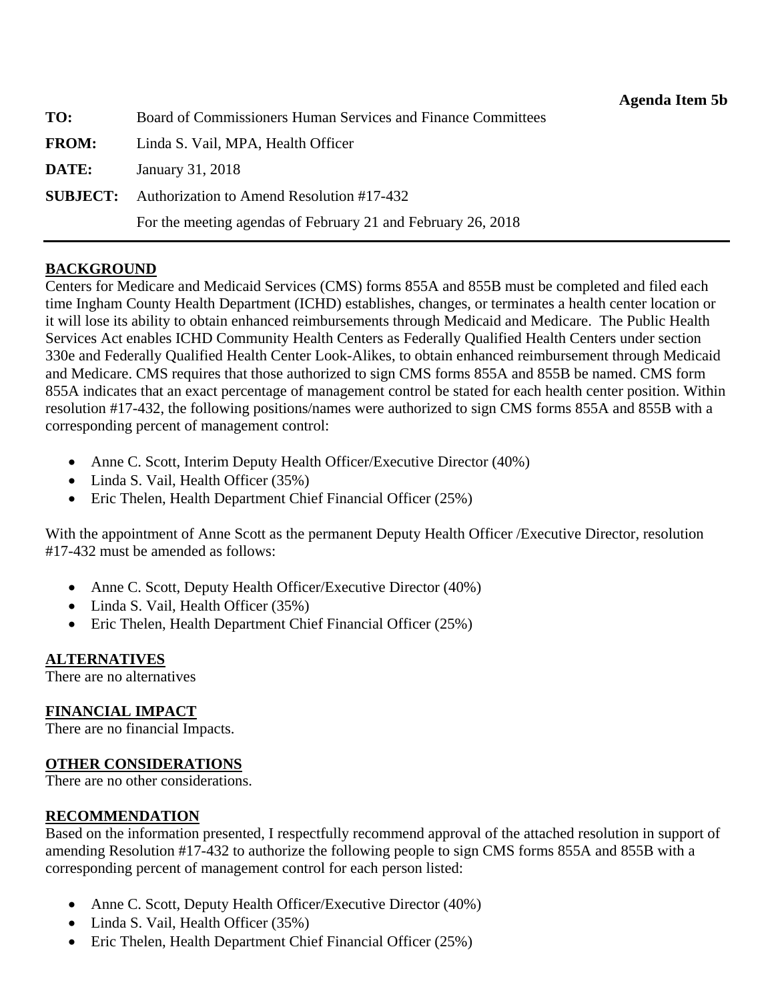<span id="page-30-0"></span>

| TO:          | Board of Commissioners Human Services and Finance Committees |  |
|--------------|--------------------------------------------------------------|--|
| <b>FROM:</b> | Linda S. Vail, MPA, Health Officer                           |  |
| DATE:        | January 31, 2018                                             |  |
|              | <b>SUBJECT:</b> Authorization to Amend Resolution #17-432    |  |
|              | For the meeting agendas of February 21 and February 26, 2018 |  |

#### **BACKGROUND**

Centers for Medicare and Medicaid Services (CMS) forms 855A and 855B must be completed and filed each time Ingham County Health Department (ICHD) establishes, changes, or terminates a health center location or it will lose its ability to obtain enhanced reimbursements through Medicaid and Medicare. The Public Health Services Act enables ICHD Community Health Centers as Federally Qualified Health Centers under section 330e and Federally Qualified Health Center Look-Alikes, to obtain enhanced reimbursement through Medicaid and Medicare. CMS requires that those authorized to sign CMS forms 855A and 855B be named. CMS form 855A indicates that an exact percentage of management control be stated for each health center position. Within resolution #17-432, the following positions/names were authorized to sign CMS forms 855A and 855B with a corresponding percent of management control:

- Anne C. Scott, Interim Deputy Health Officer/Executive Director (40%)
- Linda S. Vail, Health Officer (35%)
- Eric Thelen, Health Department Chief Financial Officer (25%)

With the appointment of Anne Scott as the permanent Deputy Health Officer /Executive Director, resolution #17-432 must be amended as follows:

- Anne C. Scott, Deputy Health Officer/Executive Director (40%)
- Linda S. Vail, Health Officer (35%)
- Eric Thelen, Health Department Chief Financial Officer (25%)

### **ALTERNATIVES**

There are no alternatives

### **FINANCIAL IMPACT**

There are no financial Impacts.

### **OTHER CONSIDERATIONS**

There are no other considerations.

#### **RECOMMENDATION**

Based on the information presented, I respectfully recommend approval of the attached resolution in support of amending Resolution #17-432 to authorize the following people to sign CMS forms 855A and 855B with a corresponding percent of management control for each person listed:

- Anne C. Scott, Deputy Health Officer/Executive Director (40%)
- Linda S. Vail, Health Officer (35%)
- Eric Thelen, Health Department Chief Financial Officer (25%)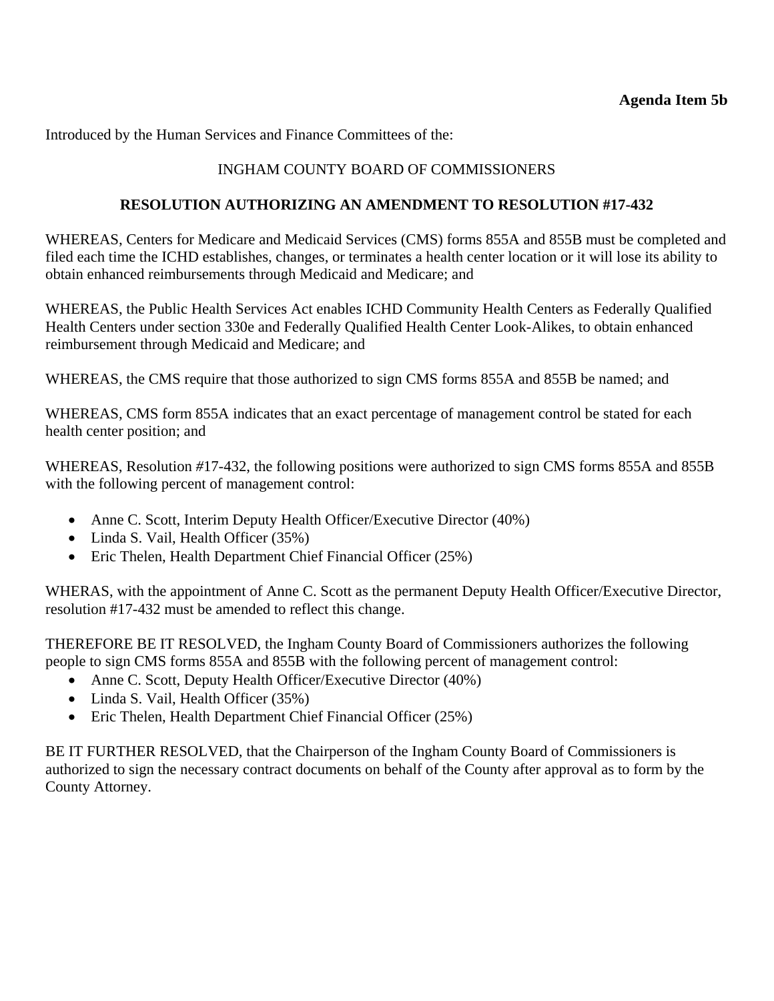Introduced by the Human Services and Finance Committees of the:

## INGHAM COUNTY BOARD OF COMMISSIONERS

#### **RESOLUTION AUTHORIZING AN AMENDMENT TO RESOLUTION #17-432**

WHEREAS, Centers for Medicare and Medicaid Services (CMS) forms 855A and 855B must be completed and filed each time the ICHD establishes, changes, or terminates a health center location or it will lose its ability to obtain enhanced reimbursements through Medicaid and Medicare; and

WHEREAS, the Public Health Services Act enables ICHD Community Health Centers as Federally Qualified Health Centers under section 330e and Federally Qualified Health Center Look-Alikes, to obtain enhanced reimbursement through Medicaid and Medicare; and

WHEREAS, the CMS require that those authorized to sign CMS forms 855A and 855B be named; and

WHEREAS, CMS form 855A indicates that an exact percentage of management control be stated for each health center position; and

WHEREAS, Resolution *#*17-432, the following positions were authorized to sign CMS forms 855A and 855B with the following percent of management control:

- Anne C. Scott, Interim Deputy Health Officer/Executive Director (40%)
- Linda S. Vail, Health Officer (35%)
- Eric Thelen, Health Department Chief Financial Officer (25%)

WHERAS, with the appointment of Anne C. Scott as the permanent Deputy Health Officer/Executive Director, resolution #17-432 must be amended to reflect this change.

THEREFORE BE IT RESOLVED, the Ingham County Board of Commissioners authorizes the following people to sign CMS forms 855A and 855B with the following percent of management control:

- Anne C. Scott, Deputy Health Officer/Executive Director (40%)
- Linda S. Vail, Health Officer (35%)
- Eric Thelen, Health Department Chief Financial Officer (25%)

BE IT FURTHER RESOLVED, that the Chairperson of the Ingham County Board of Commissioners is authorized to sign the necessary contract documents on behalf of the County after approval as to form by the County Attorney.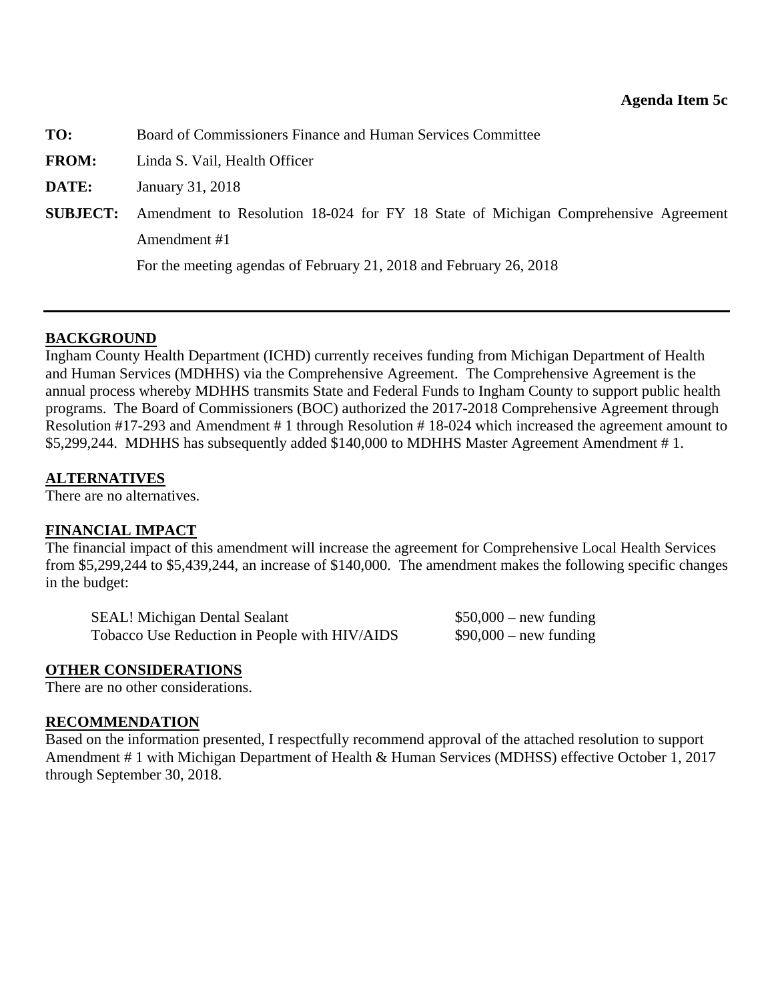<span id="page-32-0"></span>**TO:** Board of Commissioners Finance and Human Services Committee

**FROM:** Linda S. Vail, Health Officer

**DATE:** January 31, 2018

**SUBJECT:** Amendment to Resolution 18-024 for FY 18 State of Michigan Comprehensive Agreement Amendment #1

For the meeting agendas of February 21, 2018 and February 26, 2018

#### **BACKGROUND**

Ingham County Health Department (ICHD) currently receives funding from Michigan Department of Health and Human Services (MDHHS) via the Comprehensive Agreement. The Comprehensive Agreement is the annual process whereby MDHHS transmits State and Federal Funds to Ingham County to support public health programs. The Board of Commissioners (BOC) authorized the 2017-2018 Comprehensive Agreement through Resolution #17-293 and Amendment # 1 through Resolution # 18-024 which increased the agreement amount to \$5,299,244. MDHHS has subsequently added \$140,000 to MDHHS Master Agreement Amendment # 1.

#### **ALTERNATIVES**

There are no alternatives.

#### **FINANCIAL IMPACT**

The financial impact of this amendment will increase the agreement for Comprehensive Local Health Services from \$5,299,244 to \$5,439,244, an increase of \$140,000. The amendment makes the following specific changes in the budget:

SEAL! Michigan Dental Sealant \$50,000 – new funding Tobacco Use Reduction in People with HIV/AIDS  $$90,000$  – new funding

#### **OTHER CONSIDERATIONS**

There are no other considerations.

#### **RECOMMENDATION**

Based on the information presented, I respectfully recommend approval of the attached resolution to support Amendment # 1 with Michigan Department of Health & Human Services (MDHSS) effective October 1, 2017 through September 30, 2018.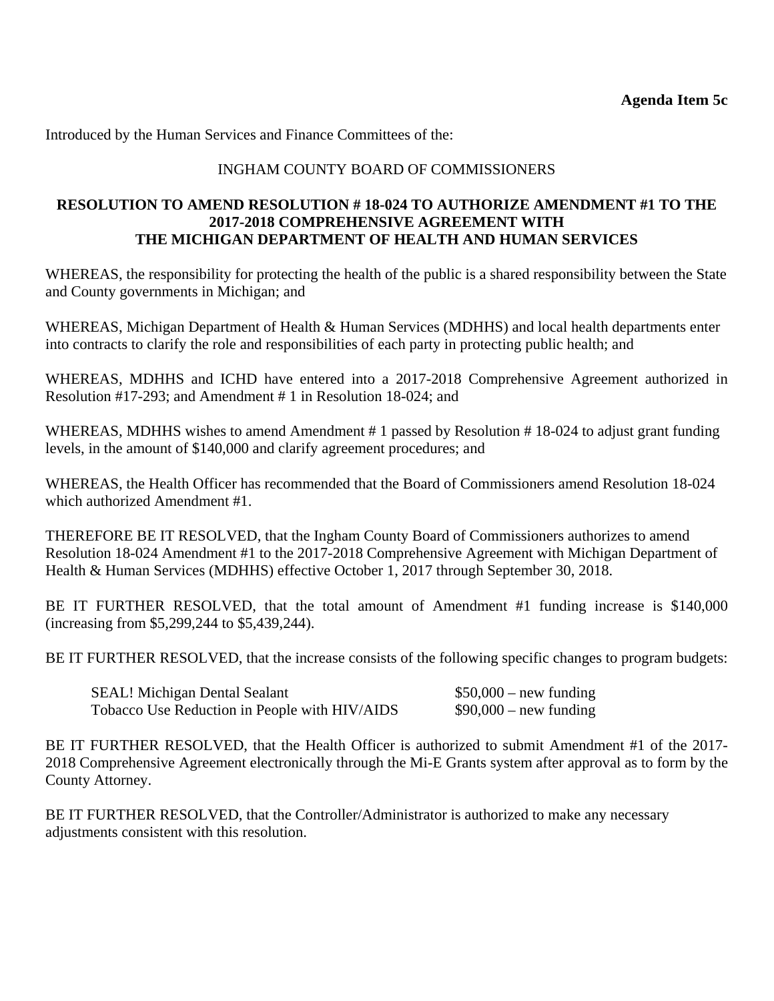Introduced by the Human Services and Finance Committees of the:

### INGHAM COUNTY BOARD OF COMMISSIONERS

#### **RESOLUTION TO AMEND RESOLUTION # 18-024 TO AUTHORIZE AMENDMENT #1 TO THE 2017-2018 COMPREHENSIVE AGREEMENT WITH THE MICHIGAN DEPARTMENT OF HEALTH AND HUMAN SERVICES**

WHEREAS, the responsibility for protecting the health of the public is a shared responsibility between the State and County governments in Michigan; and

WHEREAS, Michigan Department of Health & Human Services (MDHHS) and local health departments enter into contracts to clarify the role and responsibilities of each party in protecting public health; and

WHEREAS, MDHHS and ICHD have entered into a 2017-2018 Comprehensive Agreement authorized in Resolution #17-293; and Amendment # 1 in Resolution 18-024; and

WHEREAS, MDHHS wishes to amend Amendment #1 passed by Resolution #18-024 to adjust grant funding levels, in the amount of \$140,000 and clarify agreement procedures; and

WHEREAS, the Health Officer has recommended that the Board of Commissioners amend Resolution 18-024 which authorized Amendment #1.

THEREFORE BE IT RESOLVED, that the Ingham County Board of Commissioners authorizes to amend Resolution 18-024 Amendment #1 to the 2017-2018 Comprehensive Agreement with Michigan Department of Health & Human Services (MDHHS) effective October 1, 2017 through September 30, 2018.

BE IT FURTHER RESOLVED, that the total amount of Amendment #1 funding increase is \$140,000 (increasing from \$5,299,244 to \$5,439,244).

BE IT FURTHER RESOLVED, that the increase consists of the following specific changes to program budgets:

| <b>SEAL!</b> Michigan Dental Sealant          | $$50,000$ – new funding |
|-----------------------------------------------|-------------------------|
| Tobacco Use Reduction in People with HIV/AIDS | $$90,000$ – new funding |

BE IT FURTHER RESOLVED, that the Health Officer is authorized to submit Amendment #1 of the 2017- 2018 Comprehensive Agreement electronically through the Mi-E Grants system after approval as to form by the County Attorney.

BE IT FURTHER RESOLVED, that the Controller/Administrator is authorized to make any necessary adjustments consistent with this resolution.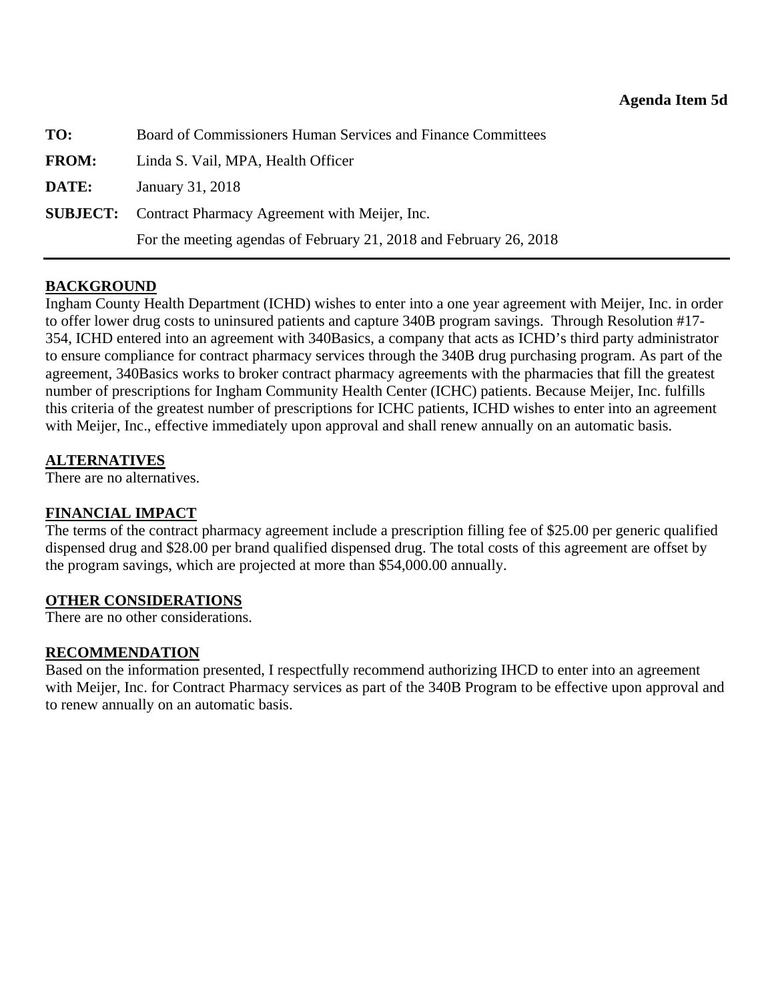<span id="page-34-0"></span>

| TO:          | Board of Commissioners Human Services and Finance Committees       |  |
|--------------|--------------------------------------------------------------------|--|
| <b>FROM:</b> | Linda S. Vail, MPA, Health Officer                                 |  |
| DATE:        | January 31, 2018                                                   |  |
|              | <b>SUBJECT:</b> Contract Pharmacy Agreement with Meijer, Inc.      |  |
|              | For the meeting agendas of February 21, 2018 and February 26, 2018 |  |

### **BACKGROUND**

Ingham County Health Department (ICHD) wishes to enter into a one year agreement with Meijer, Inc. in order to offer lower drug costs to uninsured patients and capture 340B program savings. Through Resolution #17- 354, ICHD entered into an agreement with 340Basics, a company that acts as ICHD's third party administrator to ensure compliance for contract pharmacy services through the 340B drug purchasing program. As part of the agreement, 340Basics works to broker contract pharmacy agreements with the pharmacies that fill the greatest number of prescriptions for Ingham Community Health Center (ICHC) patients. Because Meijer, Inc. fulfills this criteria of the greatest number of prescriptions for ICHC patients, ICHD wishes to enter into an agreement with Meijer, Inc., effective immediately upon approval and shall renew annually on an automatic basis.

#### **ALTERNATIVES**

There are no alternatives.

#### **FINANCIAL IMPACT**

The terms of the contract pharmacy agreement include a prescription filling fee of \$25.00 per generic qualified dispensed drug and \$28.00 per brand qualified dispensed drug. The total costs of this agreement are offset by the program savings, which are projected at more than \$54,000.00 annually.

#### **OTHER CONSIDERATIONS**

There are no other considerations.

#### **RECOMMENDATION**

Based on the information presented, I respectfully recommend authorizing IHCD to enter into an agreement with Meijer, Inc. for Contract Pharmacy services as part of the 340B Program to be effective upon approval and to renew annually on an automatic basis.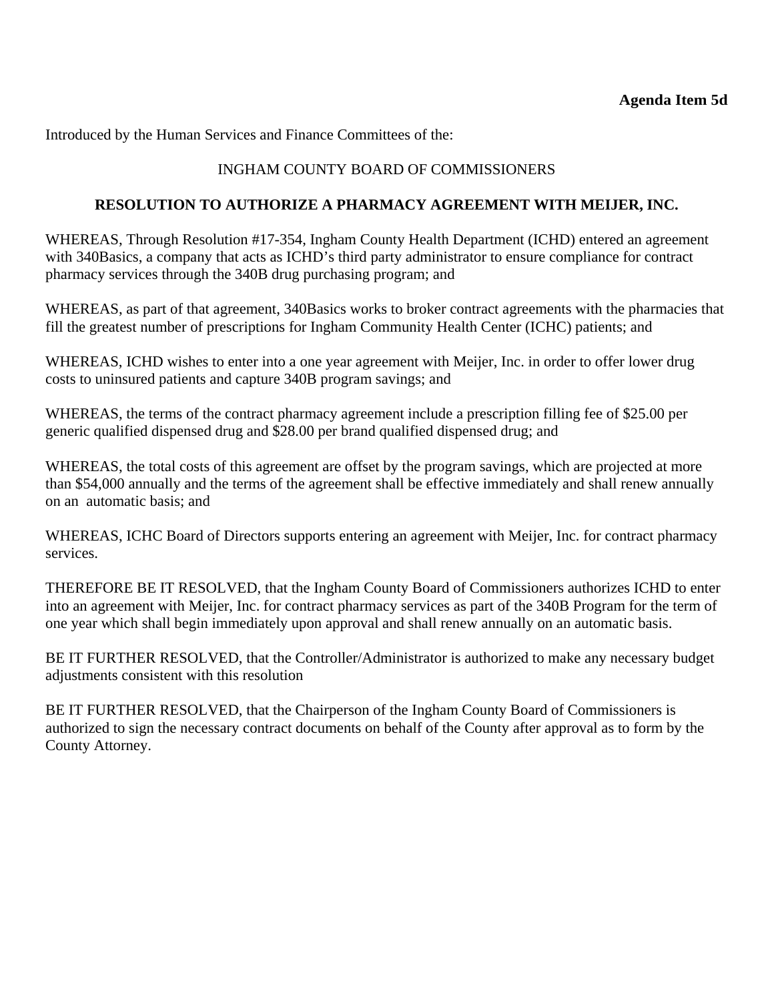Introduced by the Human Services and Finance Committees of the:

### INGHAM COUNTY BOARD OF COMMISSIONERS

#### **RESOLUTION TO AUTHORIZE A PHARMACY AGREEMENT WITH MEIJER, INC.**

WHEREAS, Through Resolution #17-354, Ingham County Health Department (ICHD) entered an agreement with 340Basics, a company that acts as ICHD's third party administrator to ensure compliance for contract pharmacy services through the 340B drug purchasing program; and

WHEREAS, as part of that agreement, 340Basics works to broker contract agreements with the pharmacies that fill the greatest number of prescriptions for Ingham Community Health Center (ICHC) patients; and

WHEREAS, ICHD wishes to enter into a one year agreement with Meijer, Inc. in order to offer lower drug costs to uninsured patients and capture 340B program savings; and

WHEREAS, the terms of the contract pharmacy agreement include a prescription filling fee of \$25.00 per generic qualified dispensed drug and \$28.00 per brand qualified dispensed drug; and

WHEREAS, the total costs of this agreement are offset by the program savings, which are projected at more than \$54,000 annually and the terms of the agreement shall be effective immediately and shall renew annually on an automatic basis; and

WHEREAS, ICHC Board of Directors supports entering an agreement with Meijer, Inc. for contract pharmacy services.

THEREFORE BE IT RESOLVED, that the Ingham County Board of Commissioners authorizes ICHD to enter into an agreement with Meijer, Inc. for contract pharmacy services as part of the 340B Program for the term of one year which shall begin immediately upon approval and shall renew annually on an automatic basis.

BE IT FURTHER RESOLVED, that the Controller/Administrator is authorized to make any necessary budget adjustments consistent with this resolution

BE IT FURTHER RESOLVED, that the Chairperson of the Ingham County Board of Commissioners is authorized to sign the necessary contract documents on behalf of the County after approval as to form by the County Attorney.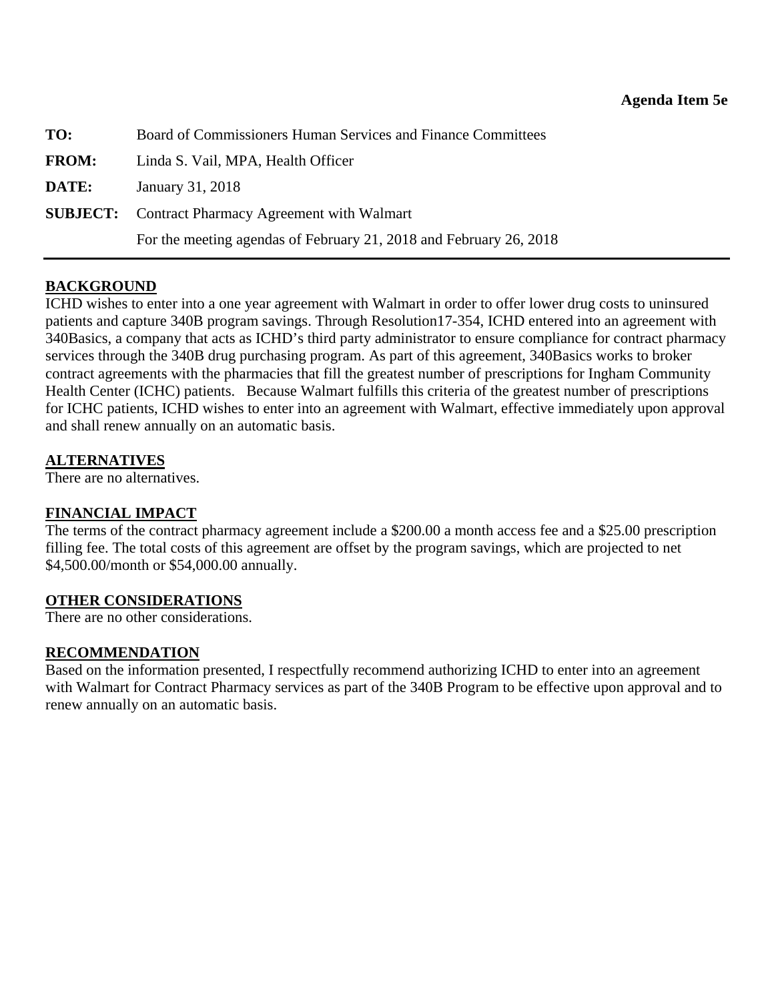<span id="page-36-0"></span>

| TO:          | Board of Commissioners Human Services and Finance Committees       |
|--------------|--------------------------------------------------------------------|
| <b>FROM:</b> | Linda S. Vail, MPA, Health Officer                                 |
| DATE:        | January 31, 2018                                                   |
|              | <b>SUBJECT:</b> Contract Pharmacy Agreement with Walmart           |
|              | For the meeting agendas of February 21, 2018 and February 26, 2018 |

### **BACKGROUND**

ICHD wishes to enter into a one year agreement with Walmart in order to offer lower drug costs to uninsured patients and capture 340B program savings. Through Resolution17-354, ICHD entered into an agreement with 340Basics, a company that acts as ICHD's third party administrator to ensure compliance for contract pharmacy services through the 340B drug purchasing program. As part of this agreement, 340Basics works to broker contract agreements with the pharmacies that fill the greatest number of prescriptions for Ingham Community Health Center (ICHC) patients. Because Walmart fulfills this criteria of the greatest number of prescriptions for ICHC patients, ICHD wishes to enter into an agreement with Walmart, effective immediately upon approval and shall renew annually on an automatic basis.

#### **ALTERNATIVES**

There are no alternatives.

### **FINANCIAL IMPACT**

The terms of the contract pharmacy agreement include a \$200.00 a month access fee and a \$25.00 prescription filling fee. The total costs of this agreement are offset by the program savings, which are projected to net \$4,500.00/month or \$54,000.00 annually.

#### **OTHER CONSIDERATIONS**

There are no other considerations.

#### **RECOMMENDATION**

Based on the information presented, I respectfully recommend authorizing ICHD to enter into an agreement with Walmart for Contract Pharmacy services as part of the 340B Program to be effective upon approval and to renew annually on an automatic basis.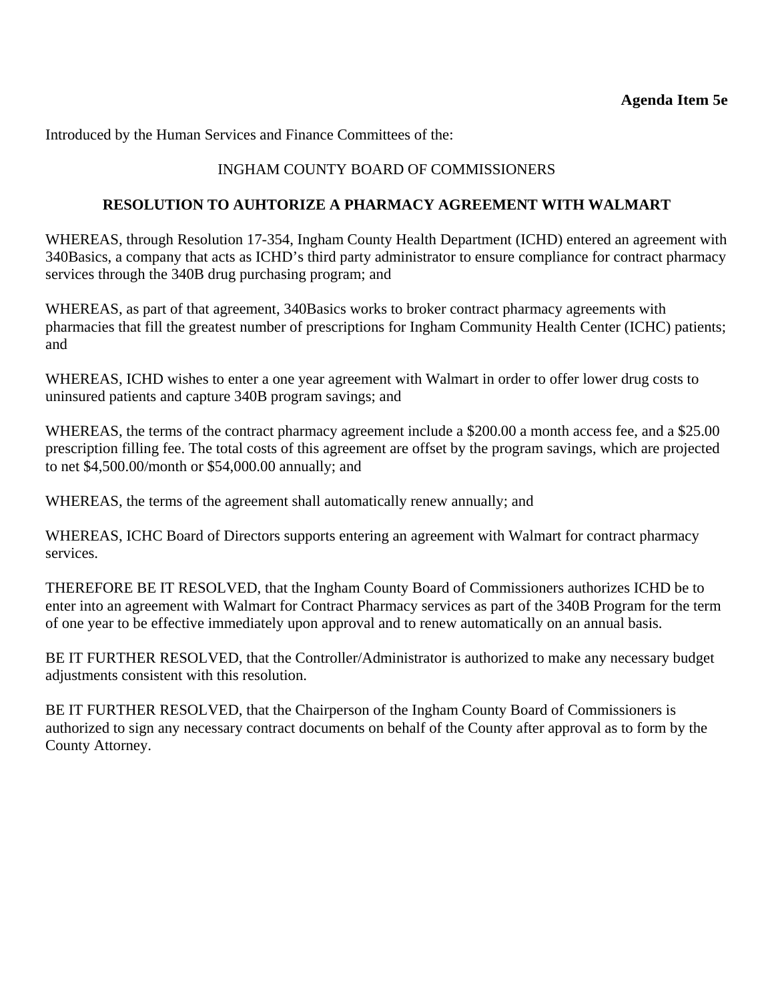Introduced by the Human Services and Finance Committees of the:

### INGHAM COUNTY BOARD OF COMMISSIONERS

#### **RESOLUTION TO AUHTORIZE A PHARMACY AGREEMENT WITH WALMART**

WHEREAS, through Resolution 17-354, Ingham County Health Department (ICHD) entered an agreement with 340Basics, a company that acts as ICHD's third party administrator to ensure compliance for contract pharmacy services through the 340B drug purchasing program; and

WHEREAS, as part of that agreement, 340Basics works to broker contract pharmacy agreements with pharmacies that fill the greatest number of prescriptions for Ingham Community Health Center (ICHC) patients; and

WHEREAS, ICHD wishes to enter a one year agreement with Walmart in order to offer lower drug costs to uninsured patients and capture 340B program savings; and

WHEREAS, the terms of the contract pharmacy agreement include a \$200.00 a month access fee, and a \$25.00 prescription filling fee. The total costs of this agreement are offset by the program savings, which are projected to net \$4,500.00/month or \$54,000.00 annually; and

WHEREAS, the terms of the agreement shall automatically renew annually; and

WHEREAS, ICHC Board of Directors supports entering an agreement with Walmart for contract pharmacy services.

THEREFORE BE IT RESOLVED, that the Ingham County Board of Commissioners authorizes ICHD be to enter into an agreement with Walmart for Contract Pharmacy services as part of the 340B Program for the term of one year to be effective immediately upon approval and to renew automatically on an annual basis.

BE IT FURTHER RESOLVED, that the Controller/Administrator is authorized to make any necessary budget adjustments consistent with this resolution.

BE IT FURTHER RESOLVED, that the Chairperson of the Ingham County Board of Commissioners is authorized to sign any necessary contract documents on behalf of the County after approval as to form by the County Attorney.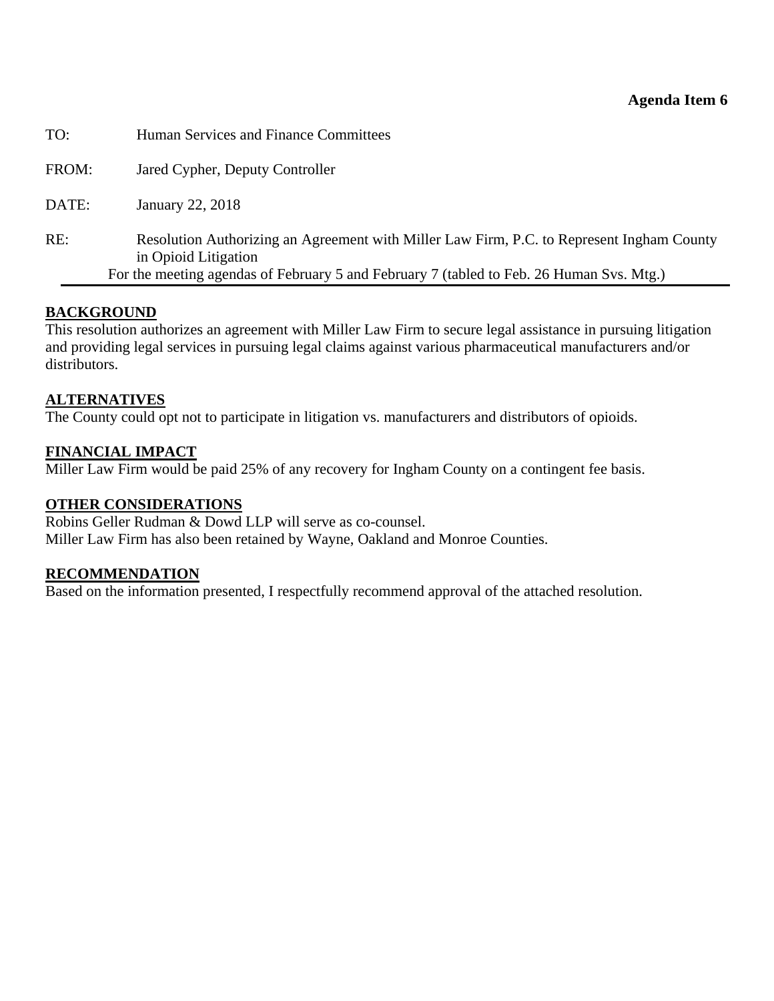#### **Agenda Item 6**

<span id="page-38-0"></span>

| TO:   | Human Services and Finance Committees                                                                                                                                                                         |
|-------|---------------------------------------------------------------------------------------------------------------------------------------------------------------------------------------------------------------|
| FROM: | Jared Cypher, Deputy Controller                                                                                                                                                                               |
| DATE: | January 22, 2018                                                                                                                                                                                              |
| RE:   | Resolution Authorizing an Agreement with Miller Law Firm, P.C. to Represent Ingham County<br>in Opioid Litigation<br>For the meeting agendas of February 5 and February 7 (tabled to Feb. 26 Human Svs. Mtg.) |

#### **BACKGROUND**

This resolution authorizes an agreement with Miller Law Firm to secure legal assistance in pursuing litigation and providing legal services in pursuing legal claims against various pharmaceutical manufacturers and/or distributors.

#### **ALTERNATIVES**

The County could opt not to participate in litigation vs. manufacturers and distributors of opioids.

#### **FINANCIAL IMPACT**

Miller Law Firm would be paid 25% of any recovery for Ingham County on a contingent fee basis.

#### **OTHER CONSIDERATIONS**

Robins Geller Rudman & Dowd LLP will serve as co-counsel. Miller Law Firm has also been retained by Wayne, Oakland and Monroe Counties.

#### **RECOMMENDATION**

Based on the information presented, I respectfully recommend approval of the attached resolution.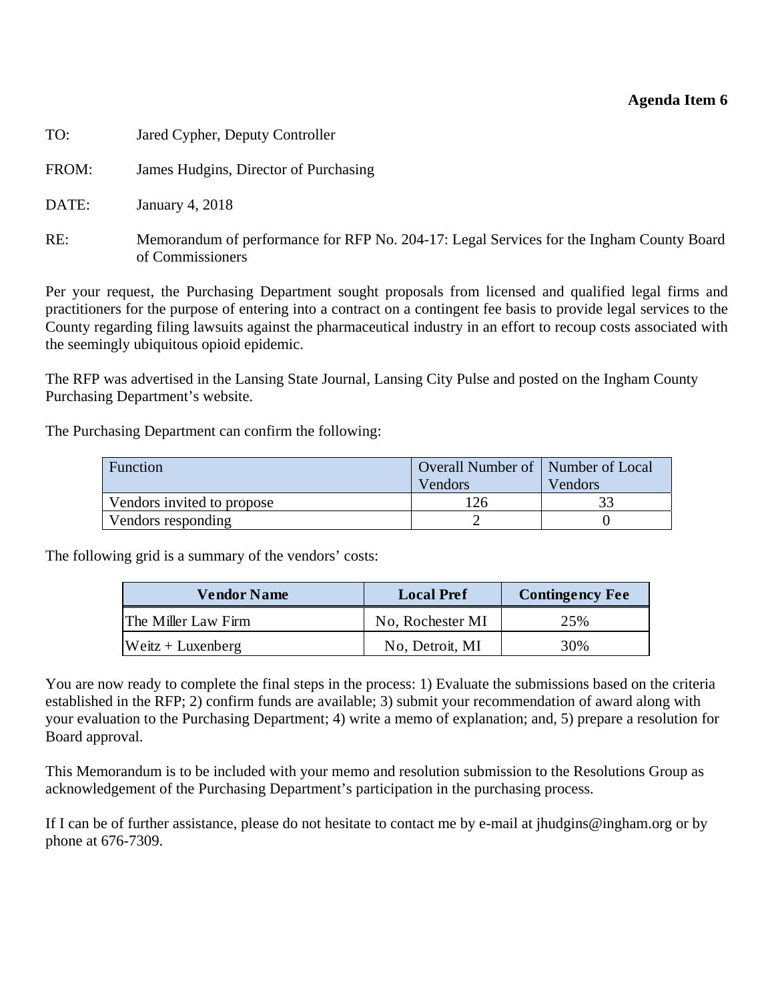#### **Agenda Item 6**

| TO:   | Jared Cypher, Deputy Controller                                                                              |
|-------|--------------------------------------------------------------------------------------------------------------|
| FROM: | James Hudgins, Director of Purchasing                                                                        |
| DATE: | January 4, 2018                                                                                              |
| RE:   | Memorandum of performance for RFP No. 204-17: Legal Services for the Ingham County Board<br>of Commissioners |

Per your request, the Purchasing Department sought proposals from licensed and qualified legal firms and practitioners for the purpose of entering into a contract on a contingent fee basis to provide legal services to the County regarding filing lawsuits against the pharmaceutical industry in an effort to recoup costs associated with the seemingly ubiquitous opioid epidemic.

The RFP was advertised in the Lansing State Journal, Lansing City Pulse and posted on the Ingham County Purchasing Department's website.

The Purchasing Department can confirm the following:

| Function                   | Overall Number of   Number of Local<br>Vendors | Vendors |
|----------------------------|------------------------------------------------|---------|
| Vendors invited to propose | 126                                            |         |
| Vendors responding         |                                                |         |

The following grid is a summary of the vendors' costs:

| <b>Vendor Name</b>  | <b>Local Pref</b> | <b>Contingency Fee</b> |
|---------------------|-------------------|------------------------|
| The Miller Law Firm | No, Rochester MI  | 25%                    |
| $Weitz + Luxenberg$ | No, Detroit, MI   | 30%                    |

You are now ready to complete the final steps in the process: 1) Evaluate the submissions based on the criteria established in the RFP; 2) confirm funds are available; 3) submit your recommendation of award along with your evaluation to the Purchasing Department; 4) write a memo of explanation; and, 5) prepare a resolution for Board approval.

This Memorandum is to be included with your memo and resolution submission to the Resolutions Group as acknowledgement of the Purchasing Department's participation in the purchasing process.

If I can be of further assistance, please do not hesitate to contact me by e-mail at jhudgins@ingham.org or by phone at 676-7309.